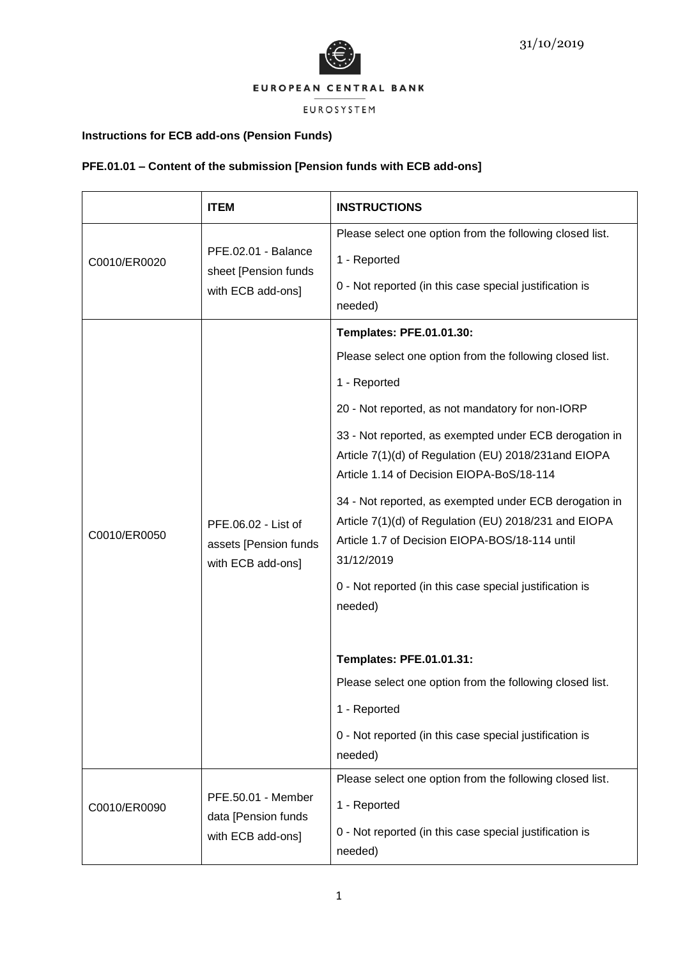



# EUROSYSTEM

# **Instructions for ECB add-ons (Pension Funds)**

# **PFE.01.01 – Content of the submission [Pension funds with ECB add-ons]**

|              | <b>ITEM</b>                                                       | <b>INSTRUCTIONS</b>                                                                                                                                                             |
|--------------|-------------------------------------------------------------------|---------------------------------------------------------------------------------------------------------------------------------------------------------------------------------|
| C0010/ER0020 | PFE.02.01 - Balance<br>sheet [Pension funds                       | Please select one option from the following closed list.                                                                                                                        |
|              |                                                                   | 1 - Reported                                                                                                                                                                    |
|              | with ECB add-ons]                                                 | 0 - Not reported (in this case special justification is<br>needed)                                                                                                              |
|              |                                                                   | <b>Templates: PFE.01.01.30:</b>                                                                                                                                                 |
|              |                                                                   | Please select one option from the following closed list.                                                                                                                        |
|              |                                                                   | 1 - Reported                                                                                                                                                                    |
|              |                                                                   | 20 - Not reported, as not mandatory for non-IORP                                                                                                                                |
|              | PFE.06.02 - List of<br>assets [Pension funds<br>with ECB add-ons] | 33 - Not reported, as exempted under ECB derogation in<br>Article 7(1)(d) of Regulation (EU) 2018/231 and EIOPA<br>Article 1.14 of Decision EIOPA-BoS/18-114                    |
| C0010/ER0050 |                                                                   | 34 - Not reported, as exempted under ECB derogation in<br>Article 7(1)(d) of Regulation (EU) 2018/231 and EIOPA<br>Article 1.7 of Decision EIOPA-BOS/18-114 until<br>31/12/2019 |
|              |                                                                   | 0 - Not reported (in this case special justification is<br>needed)                                                                                                              |
|              |                                                                   | <b>Templates: PFE.01.01.31:</b>                                                                                                                                                 |
|              |                                                                   | Please select one option from the following closed list.                                                                                                                        |
|              |                                                                   | 1 - Reported                                                                                                                                                                    |
|              |                                                                   | 0 - Not reported (in this case special justification is<br>needed)                                                                                                              |
|              |                                                                   | Please select one option from the following closed list.                                                                                                                        |
| C0010/ER0090 | PFE.50.01 - Member<br>data [Pension funds<br>with ECB add-ons]    | 1 - Reported                                                                                                                                                                    |
|              |                                                                   | 0 - Not reported (in this case special justification is<br>needed)                                                                                                              |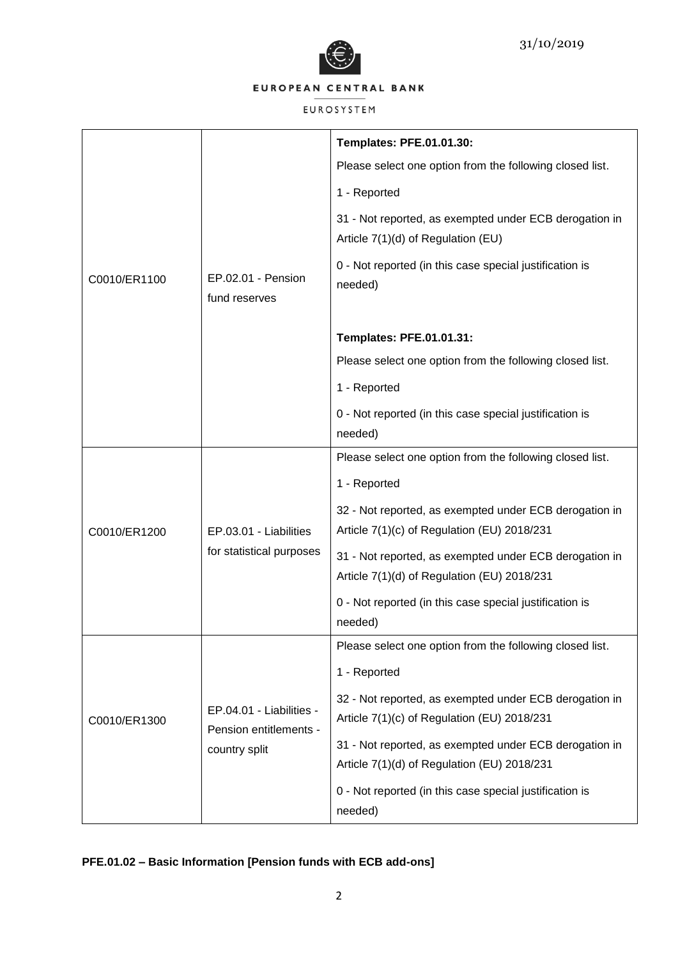

## EUROSYSTEM

|              |                                                    | <b>Templates: PFE.01.01.30:</b>                                                              |
|--------------|----------------------------------------------------|----------------------------------------------------------------------------------------------|
|              |                                                    | Please select one option from the following closed list.                                     |
|              |                                                    | 1 - Reported                                                                                 |
|              |                                                    | 31 - Not reported, as exempted under ECB derogation in<br>Article 7(1)(d) of Regulation (EU) |
| C0010/ER1100 | EP.02.01 - Pension<br>fund reserves                | 0 - Not reported (in this case special justification is<br>needed)                           |
|              |                                                    | Templates: PFE.01.01.31:                                                                     |
|              |                                                    | Please select one option from the following closed list.                                     |
|              |                                                    | 1 - Reported                                                                                 |
|              |                                                    | 0 - Not reported (in this case special justification is                                      |
|              |                                                    | needed)                                                                                      |
|              |                                                    | Please select one option from the following closed list.                                     |
|              |                                                    | 1 - Reported                                                                                 |
|              |                                                    | 32 - Not reported, as exempted under ECB derogation in                                       |
| C0010/ER1200 | EP.03.01 - Liabilities                             | Article 7(1)(c) of Regulation (EU) 2018/231                                                  |
|              | for statistical purposes                           | 31 - Not reported, as exempted under ECB derogation in                                       |
|              |                                                    | Article 7(1)(d) of Regulation (EU) 2018/231                                                  |
|              |                                                    | 0 - Not reported (in this case special justification is                                      |
|              |                                                    | needed)                                                                                      |
|              |                                                    | Please select one option from the following closed list.                                     |
|              |                                                    | 1 - Reported                                                                                 |
|              |                                                    | 32 - Not reported, as exempted under ECB derogation in                                       |
| C0010/ER1300 | EP.04.01 - Liabilities -<br>Pension entitlements - | Article 7(1)(c) of Regulation (EU) 2018/231                                                  |
|              | country split                                      | 31 - Not reported, as exempted under ECB derogation in                                       |
|              |                                                    | Article 7(1)(d) of Regulation (EU) 2018/231                                                  |
|              |                                                    | 0 - Not reported (in this case special justification is<br>needed)                           |

# **PFE.01.02 – Basic Information [Pension funds with ECB add-ons]**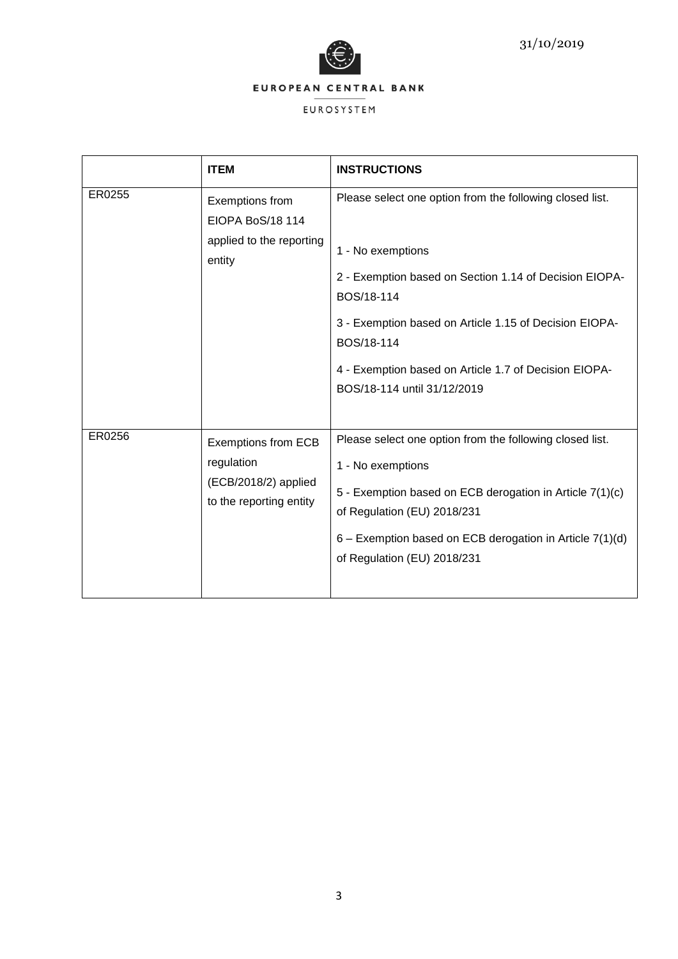

|        | <b>ITEM</b>                                                                                 | <b>INSTRUCTIONS</b>                                                                                                                                                                                                                                                                                                   |
|--------|---------------------------------------------------------------------------------------------|-----------------------------------------------------------------------------------------------------------------------------------------------------------------------------------------------------------------------------------------------------------------------------------------------------------------------|
| ER0255 | Exemptions from<br>EIOPA BoS/18 114<br>applied to the reporting<br>entity                   | Please select one option from the following closed list.<br>1 - No exemptions<br>2 - Exemption based on Section 1.14 of Decision EIOPA-<br>BOS/18-114<br>3 - Exemption based on Article 1.15 of Decision EIOPA-<br>BOS/18-114<br>4 - Exemption based on Article 1.7 of Decision EIOPA-<br>BOS/18-114 until 31/12/2019 |
| ER0256 | <b>Exemptions from ECB</b><br>regulation<br>(ECB/2018/2) applied<br>to the reporting entity | Please select one option from the following closed list.<br>1 - No exemptions<br>5 - Exemption based on ECB derogation in Article 7(1)(c)<br>of Regulation (EU) 2018/231<br>6 - Exemption based on ECB derogation in Article 7(1)(d)<br>of Regulation (EU) 2018/231                                                   |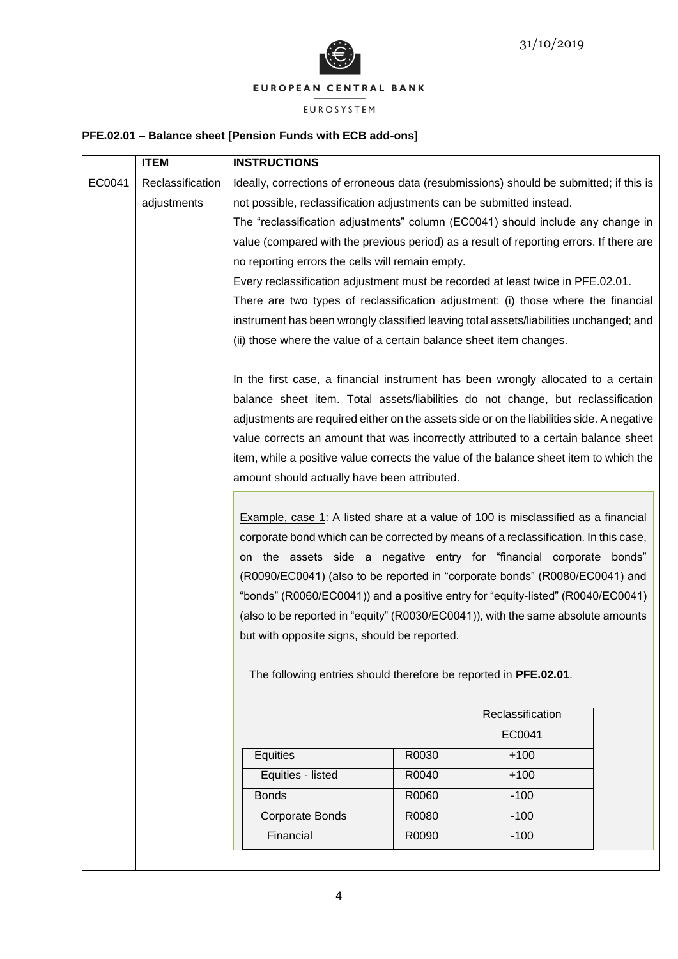

# EUROSYSTEM

# **PFE.02.01 – Balance sheet [Pension Funds with ECB add-ons]**

|        | <b>ITEM</b>      | <b>INSTRUCTIONS</b>                                                                                                                                                                                                                                                                                                                                                                                                                                                                                                                                                                                                                                                                                                                                                                                                                                                                                                                                                                                                 |                                                                                 |                  |  |
|--------|------------------|---------------------------------------------------------------------------------------------------------------------------------------------------------------------------------------------------------------------------------------------------------------------------------------------------------------------------------------------------------------------------------------------------------------------------------------------------------------------------------------------------------------------------------------------------------------------------------------------------------------------------------------------------------------------------------------------------------------------------------------------------------------------------------------------------------------------------------------------------------------------------------------------------------------------------------------------------------------------------------------------------------------------|---------------------------------------------------------------------------------|------------------|--|
| EC0041 | Reclassification | Ideally, corrections of erroneous data (resubmissions) should be submitted; if this is                                                                                                                                                                                                                                                                                                                                                                                                                                                                                                                                                                                                                                                                                                                                                                                                                                                                                                                              |                                                                                 |                  |  |
|        | adjustments      | not possible, reclassification adjustments can be submitted instead.                                                                                                                                                                                                                                                                                                                                                                                                                                                                                                                                                                                                                                                                                                                                                                                                                                                                                                                                                |                                                                                 |                  |  |
|        |                  | The "reclassification adjustments" column (EC0041) should include any change in                                                                                                                                                                                                                                                                                                                                                                                                                                                                                                                                                                                                                                                                                                                                                                                                                                                                                                                                     |                                                                                 |                  |  |
|        |                  | value (compared with the previous period) as a result of reporting errors. If there are                                                                                                                                                                                                                                                                                                                                                                                                                                                                                                                                                                                                                                                                                                                                                                                                                                                                                                                             |                                                                                 |                  |  |
|        |                  | no reporting errors the cells will remain empty.                                                                                                                                                                                                                                                                                                                                                                                                                                                                                                                                                                                                                                                                                                                                                                                                                                                                                                                                                                    |                                                                                 |                  |  |
|        |                  |                                                                                                                                                                                                                                                                                                                                                                                                                                                                                                                                                                                                                                                                                                                                                                                                                                                                                                                                                                                                                     | Every reclassification adjustment must be recorded at least twice in PFE.02.01. |                  |  |
|        |                  | There are two types of reclassification adjustment: (i) those where the financial                                                                                                                                                                                                                                                                                                                                                                                                                                                                                                                                                                                                                                                                                                                                                                                                                                                                                                                                   |                                                                                 |                  |  |
|        |                  | instrument has been wrongly classified leaving total assets/liabilities unchanged; and                                                                                                                                                                                                                                                                                                                                                                                                                                                                                                                                                                                                                                                                                                                                                                                                                                                                                                                              |                                                                                 |                  |  |
|        |                  |                                                                                                                                                                                                                                                                                                                                                                                                                                                                                                                                                                                                                                                                                                                                                                                                                                                                                                                                                                                                                     | (ii) those where the value of a certain balance sheet item changes.             |                  |  |
|        |                  | In the first case, a financial instrument has been wrongly allocated to a certain<br>balance sheet item. Total assets/liabilities do not change, but reclassification<br>adjustments are required either on the assets side or on the liabilities side. A negative<br>value corrects an amount that was incorrectly attributed to a certain balance sheet<br>item, while a positive value corrects the value of the balance sheet item to which the<br>amount should actually have been attributed.<br><b>Example, case 1:</b> A listed share at a value of 100 is misclassified as a financial<br>corporate bond which can be corrected by means of a reclassification. In this case,<br>on the assets side a negative entry for "financial corporate bonds"<br>(R0090/EC0041) (also to be reported in "corporate bonds" (R0080/EC0041) and<br>"bonds" (R0060/EC0041)) and a positive entry for "equity-listed" (R0040/EC0041)<br>(also to be reported in "equity" (R0030/EC0041)), with the same absolute amounts |                                                                                 |                  |  |
|        |                  | but with opposite signs, should be reported.                                                                                                                                                                                                                                                                                                                                                                                                                                                                                                                                                                                                                                                                                                                                                                                                                                                                                                                                                                        |                                                                                 |                  |  |
|        |                  | The following entries should therefore be reported in PFE.02.01.                                                                                                                                                                                                                                                                                                                                                                                                                                                                                                                                                                                                                                                                                                                                                                                                                                                                                                                                                    |                                                                                 |                  |  |
|        |                  |                                                                                                                                                                                                                                                                                                                                                                                                                                                                                                                                                                                                                                                                                                                                                                                                                                                                                                                                                                                                                     |                                                                                 | Reclassification |  |
|        |                  |                                                                                                                                                                                                                                                                                                                                                                                                                                                                                                                                                                                                                                                                                                                                                                                                                                                                                                                                                                                                                     |                                                                                 | EC0041           |  |
|        |                  | Equities                                                                                                                                                                                                                                                                                                                                                                                                                                                                                                                                                                                                                                                                                                                                                                                                                                                                                                                                                                                                            | R0030                                                                           | $+100$           |  |
|        |                  | Equities - listed                                                                                                                                                                                                                                                                                                                                                                                                                                                                                                                                                                                                                                                                                                                                                                                                                                                                                                                                                                                                   | R0040                                                                           | $+100$           |  |
|        |                  | <b>Bonds</b>                                                                                                                                                                                                                                                                                                                                                                                                                                                                                                                                                                                                                                                                                                                                                                                                                                                                                                                                                                                                        | R0060                                                                           | $-100$           |  |
|        |                  | Corporate Bonds                                                                                                                                                                                                                                                                                                                                                                                                                                                                                                                                                                                                                                                                                                                                                                                                                                                                                                                                                                                                     | R0080                                                                           | $-100$           |  |
|        |                  | Financial                                                                                                                                                                                                                                                                                                                                                                                                                                                                                                                                                                                                                                                                                                                                                                                                                                                                                                                                                                                                           | R0090                                                                           | $-100$           |  |
|        |                  |                                                                                                                                                                                                                                                                                                                                                                                                                                                                                                                                                                                                                                                                                                                                                                                                                                                                                                                                                                                                                     |                                                                                 |                  |  |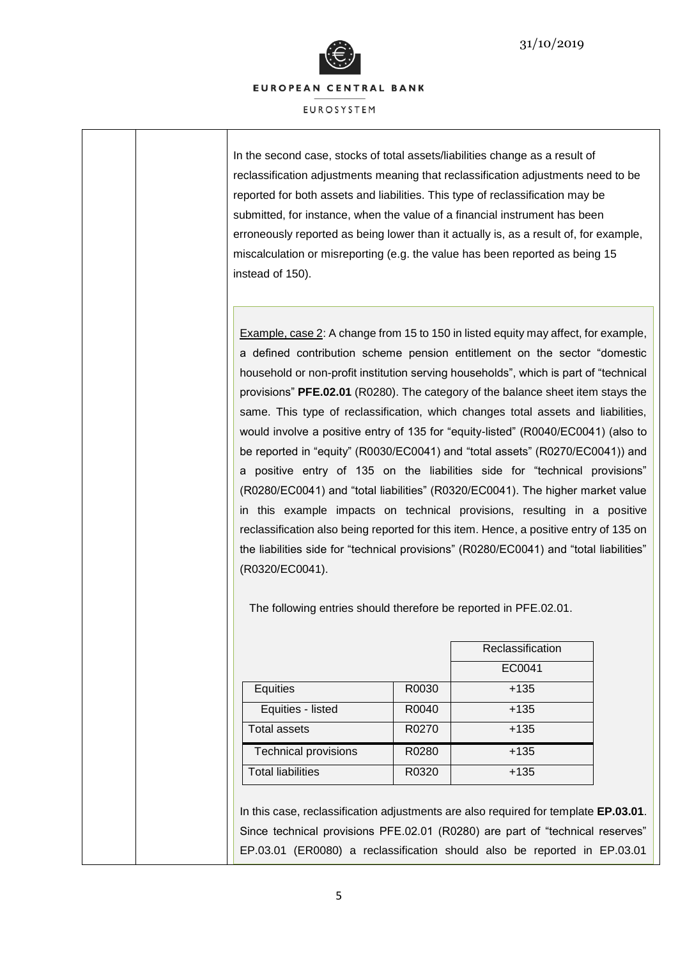

**FUROSYSTEM** 

In the second case, stocks of total assets/liabilities change as a result of reclassification adjustments meaning that reclassification adjustments need to be reported for both assets and liabilities. This type of reclassification may be submitted, for instance, when the value of a financial instrument has been erroneously reported as being lower than it actually is, as a result of, for example, miscalculation or misreporting (e.g. the value has been reported as being 15 instead of 150).

Example, case 2: A change from 15 to 150 in listed equity may affect, for example, a defined contribution scheme pension entitlement on the sector "domestic household or non-profit institution serving households", which is part of "technical provisions" **PFE.02.01** (R0280). The category of the balance sheet item stays the same. This type of reclassification, which changes total assets and liabilities, would involve a positive entry of 135 for "equity-listed" (R0040/EC0041) (also to be reported in "equity" (R0030/EC0041) and "total assets" (R0270/EC0041)) and a positive entry of 135 on the liabilities side for "technical provisions" (R0280/EC0041) and "total liabilities" (R0320/EC0041). The higher market value in this example impacts on technical provisions, resulting in a positive reclassification also being reported for this item. Hence, a positive entry of 135 on the liabilities side for "technical provisions" (R0280/EC0041) and "total liabilities" (R0320/EC0041).

The following entries should therefore be reported in PFE.02.01.

|                             |       | Reclassification |
|-----------------------------|-------|------------------|
|                             |       | EC0041           |
| Equities                    | R0030 | $+135$           |
| Equities - listed           | R0040 | $+135$           |
| <b>Total assets</b>         | R0270 | $+135$           |
| <b>Technical provisions</b> | R0280 | $+135$           |
| <b>Total liabilities</b>    | R0320 | $+135$           |

In this case, reclassification adjustments are also required for template **EP.03.01**. Since technical provisions PFE.02.01 (R0280) are part of "technical reserves" EP.03.01 (ER0080) a reclassification should also be reported in EP.03.01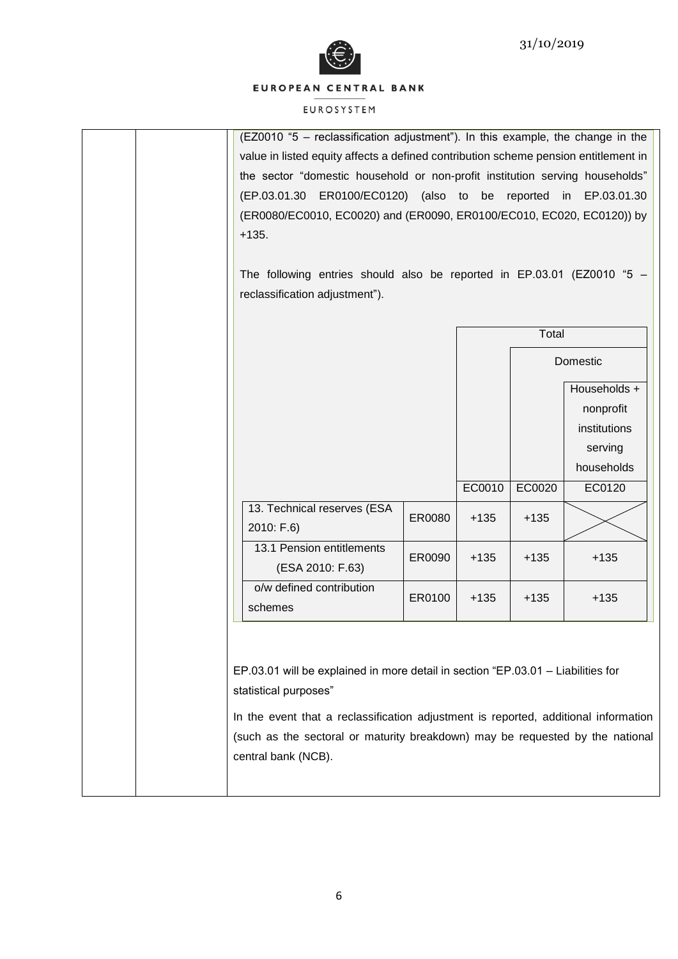



| (EZ0010 "5 - reclassification adjustment"). In this example, the change in the<br>value in listed equity affects a defined contribution scheme pension entitlement in<br>the sector "domestic household or non-profit institution serving households"<br>(EP.03.01.30 ER0100/EC0120) (also to be reported<br>EP.03.01.30<br>in<br>(ER0080/EC0010, EC0020) and (ER0090, ER0100/EC010, EC020, EC0120)) by<br>$+135.$<br>The following entries should also be reported in $EP.03.01$ (EZ0010 $*5$ -<br>reclassification adjustment"). |        |        |        |              |
|------------------------------------------------------------------------------------------------------------------------------------------------------------------------------------------------------------------------------------------------------------------------------------------------------------------------------------------------------------------------------------------------------------------------------------------------------------------------------------------------------------------------------------|--------|--------|--------|--------------|
|                                                                                                                                                                                                                                                                                                                                                                                                                                                                                                                                    |        |        | Total  |              |
|                                                                                                                                                                                                                                                                                                                                                                                                                                                                                                                                    |        |        |        | Domestic     |
|                                                                                                                                                                                                                                                                                                                                                                                                                                                                                                                                    |        |        |        | Households + |
|                                                                                                                                                                                                                                                                                                                                                                                                                                                                                                                                    |        |        |        | nonprofit    |
|                                                                                                                                                                                                                                                                                                                                                                                                                                                                                                                                    |        |        |        | institutions |
|                                                                                                                                                                                                                                                                                                                                                                                                                                                                                                                                    |        |        |        | serving      |
|                                                                                                                                                                                                                                                                                                                                                                                                                                                                                                                                    |        |        |        | households   |
| 13. Technical reserves (ESA                                                                                                                                                                                                                                                                                                                                                                                                                                                                                                        |        | EC0010 | EC0020 | EC0120       |
| 2010: F.6)                                                                                                                                                                                                                                                                                                                                                                                                                                                                                                                         | ER0080 | $+135$ | $+135$ |              |
| 13.1 Pension entitlements<br>(ESA 2010: F.63)                                                                                                                                                                                                                                                                                                                                                                                                                                                                                      | ER0090 | $+135$ | $+135$ | $+135$       |
| o/w defined contribution<br>schemes                                                                                                                                                                                                                                                                                                                                                                                                                                                                                                | ER0100 | $+135$ | $+135$ | $+135$       |
| EP.03.01 will be explained in more detail in section "EP.03.01 - Liabilities for<br>statistical purposes"<br>In the event that a reclassification adjustment is reported, additional information<br>(such as the sectoral or maturity breakdown) may be requested by the national<br>central bank (NCB).                                                                                                                                                                                                                           |        |        |        |              |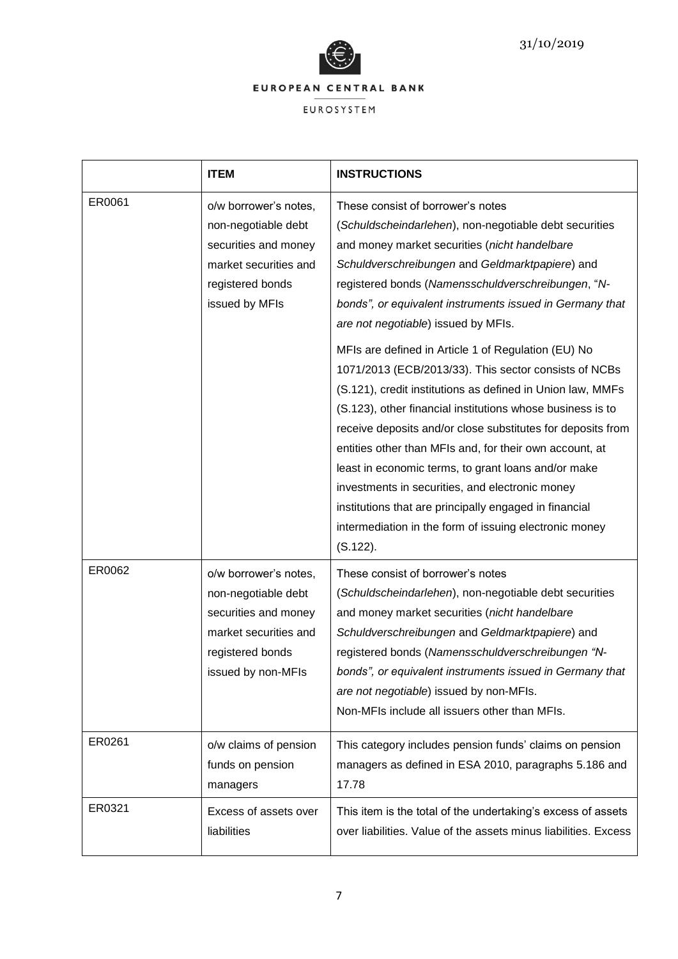

|        | <b>ITEM</b>                                                                                                                             | <b>INSTRUCTIONS</b>                                                                                                                                                                                                                                                                                                                                                                                                                                                                                                                                                                                                                                                                                                                                                                                                                                                                                                                                                      |
|--------|-----------------------------------------------------------------------------------------------------------------------------------------|--------------------------------------------------------------------------------------------------------------------------------------------------------------------------------------------------------------------------------------------------------------------------------------------------------------------------------------------------------------------------------------------------------------------------------------------------------------------------------------------------------------------------------------------------------------------------------------------------------------------------------------------------------------------------------------------------------------------------------------------------------------------------------------------------------------------------------------------------------------------------------------------------------------------------------------------------------------------------|
| ER0061 | o/w borrower's notes,<br>non-negotiable debt<br>securities and money<br>market securities and<br>registered bonds<br>issued by MFIs     | These consist of borrower's notes<br>(Schuldscheindarlehen), non-negotiable debt securities<br>and money market securities (nicht handelbare<br>Schuldverschreibungen and Geldmarktpapiere) and<br>registered bonds (Namensschuldverschreibungen, "N-<br>bonds", or equivalent instruments issued in Germany that<br>are not negotiable) issued by MFIs.<br>MFIs are defined in Article 1 of Regulation (EU) No<br>1071/2013 (ECB/2013/33). This sector consists of NCBs<br>(S.121), credit institutions as defined in Union law, MMFs<br>(S.123), other financial institutions whose business is to<br>receive deposits and/or close substitutes for deposits from<br>entities other than MFIs and, for their own account, at<br>least in economic terms, to grant loans and/or make<br>investments in securities, and electronic money<br>institutions that are principally engaged in financial<br>intermediation in the form of issuing electronic money<br>(S.122). |
| ER0062 | o/w borrower's notes,<br>non-negotiable debt<br>securities and money<br>market securities and<br>registered bonds<br>issued by non-MFIs | These consist of borrower's notes<br>(Schuldscheindarlehen), non-negotiable debt securities<br>and money market securities (nicht handelbare<br>Schuldverschreibungen and Geldmarktpapiere) and<br>registered bonds (Namensschuldverschreibungen "N-<br>bonds", or equivalent instruments issued in Germany that<br>are not negotiable) issued by non-MFIs.<br>Non-MFIs include all issuers other than MFIs.                                                                                                                                                                                                                                                                                                                                                                                                                                                                                                                                                             |
| ER0261 | o/w claims of pension<br>funds on pension<br>managers                                                                                   | This category includes pension funds' claims on pension<br>managers as defined in ESA 2010, paragraphs 5.186 and<br>17.78                                                                                                                                                                                                                                                                                                                                                                                                                                                                                                                                                                                                                                                                                                                                                                                                                                                |
| ER0321 | Excess of assets over<br>liabilities                                                                                                    | This item is the total of the undertaking's excess of assets<br>over liabilities. Value of the assets minus liabilities. Excess                                                                                                                                                                                                                                                                                                                                                                                                                                                                                                                                                                                                                                                                                                                                                                                                                                          |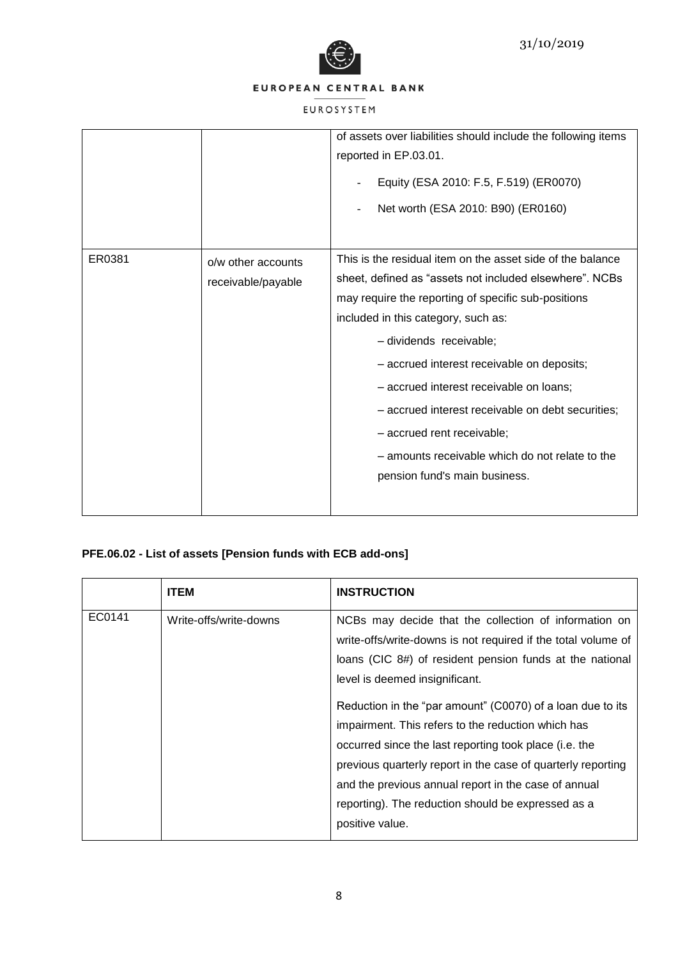



# EUROSYSTEM

|        |                                          | of assets over liabilities should include the following items<br>reported in EP.03.01.<br>Equity (ESA 2010: F.5, F.519) (ER0070)<br>Net worth (ESA 2010: B90) (ER0160)                                                                                                                                                                                                                                                                                                                                         |
|--------|------------------------------------------|----------------------------------------------------------------------------------------------------------------------------------------------------------------------------------------------------------------------------------------------------------------------------------------------------------------------------------------------------------------------------------------------------------------------------------------------------------------------------------------------------------------|
| ER0381 | o/w other accounts<br>receivable/payable | This is the residual item on the asset side of the balance<br>sheet, defined as "assets not included elsewhere". NCBs<br>may require the reporting of specific sub-positions<br>included in this category, such as:<br>- dividends receivable;<br>- accrued interest receivable on deposits;<br>- accrued interest receivable on loans;<br>- accrued interest receivable on debt securities;<br>- accrued rent receivable;<br>- amounts receivable which do not relate to the<br>pension fund's main business. |

# **PFE.06.02 - List of assets [Pension funds with ECB add-ons]**

|        | <b>ITEM</b>            | <b>INSTRUCTION</b>                                                                                                                                                                                                                                                                                                                                                                                                                                                                                                                                                                                  |
|--------|------------------------|-----------------------------------------------------------------------------------------------------------------------------------------------------------------------------------------------------------------------------------------------------------------------------------------------------------------------------------------------------------------------------------------------------------------------------------------------------------------------------------------------------------------------------------------------------------------------------------------------------|
| EC0141 | Write-offs/write-downs | NCBs may decide that the collection of information on<br>write-offs/write-downs is not required if the total volume of<br>loans (CIC 8#) of resident pension funds at the national<br>level is deemed insignificant.<br>Reduction in the "par amount" (C0070) of a loan due to its<br>impairment. This refers to the reduction which has<br>occurred since the last reporting took place (i.e. the<br>previous quarterly report in the case of quarterly reporting<br>and the previous annual report in the case of annual<br>reporting). The reduction should be expressed as a<br>positive value. |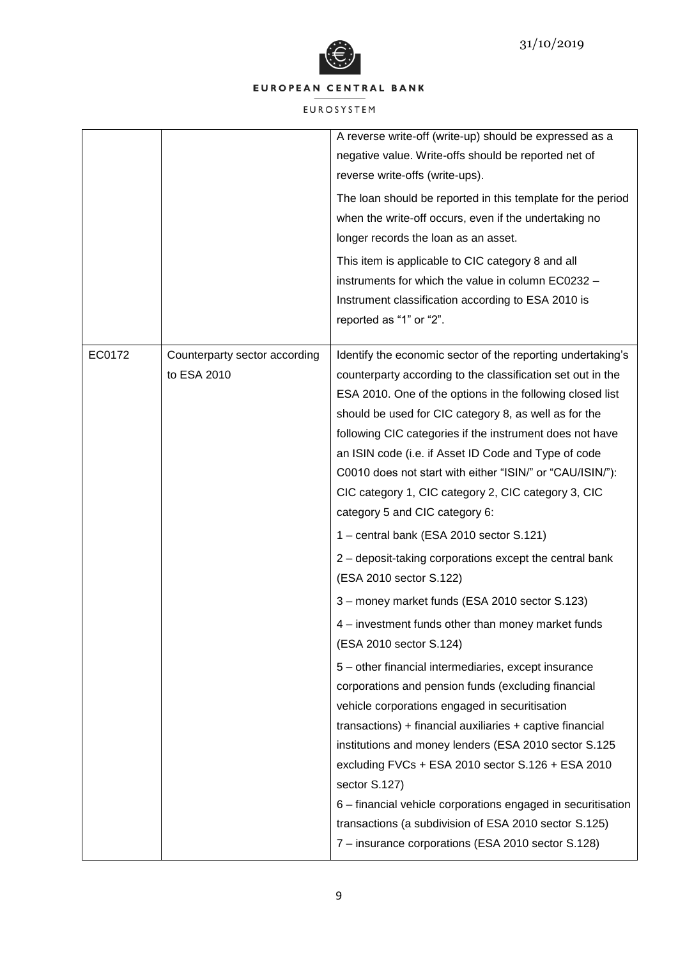

|        |                                              | A reverse write-off (write-up) should be expressed as a<br>negative value. Write-offs should be reported net of<br>reverse write-offs (write-ups).<br>The loan should be reported in this template for the period<br>when the write-off occurs, even if the undertaking no<br>longer records the loan as an asset.<br>This item is applicable to CIC category 8 and all<br>instruments for which the value in column EC0232 -<br>Instrument classification according to ESA 2010 is<br>reported as "1" or "2".                                                                                                                                                                                                                                                                                                                                                                                                                                                                                                                                                                                                                                                                                                                                                                                                                                 |
|--------|----------------------------------------------|------------------------------------------------------------------------------------------------------------------------------------------------------------------------------------------------------------------------------------------------------------------------------------------------------------------------------------------------------------------------------------------------------------------------------------------------------------------------------------------------------------------------------------------------------------------------------------------------------------------------------------------------------------------------------------------------------------------------------------------------------------------------------------------------------------------------------------------------------------------------------------------------------------------------------------------------------------------------------------------------------------------------------------------------------------------------------------------------------------------------------------------------------------------------------------------------------------------------------------------------------------------------------------------------------------------------------------------------|
| EC0172 | Counterparty sector according<br>to ESA 2010 | Identify the economic sector of the reporting undertaking's<br>counterparty according to the classification set out in the<br>ESA 2010. One of the options in the following closed list<br>should be used for CIC category 8, as well as for the<br>following CIC categories if the instrument does not have<br>an ISIN code (i.e. if Asset ID Code and Type of code<br>C0010 does not start with either "ISIN/" or "CAU/ISIN/"):<br>CIC category 1, CIC category 2, CIC category 3, CIC<br>category 5 and CIC category 6:<br>1 - central bank (ESA 2010 sector S.121)<br>2 - deposit-taking corporations except the central bank<br>(ESA 2010 sector S.122)<br>3 - money market funds (ESA 2010 sector S.123)<br>4 – investment funds other than money market funds<br>(ESA 2010 sector S.124)<br>5 - other financial intermediaries, except insurance<br>corporations and pension funds (excluding financial<br>vehicle corporations engaged in securitisation<br>$transactions$ ) + financial auxiliaries + captive financial<br>institutions and money lenders (ESA 2010 sector S.125<br>excluding FVCs + ESA 2010 sector S.126 + ESA 2010<br>sector S.127)<br>6 - financial vehicle corporations engaged in securitisation<br>transactions (a subdivision of ESA 2010 sector S.125)<br>7 - insurance corporations (ESA 2010 sector S.128) |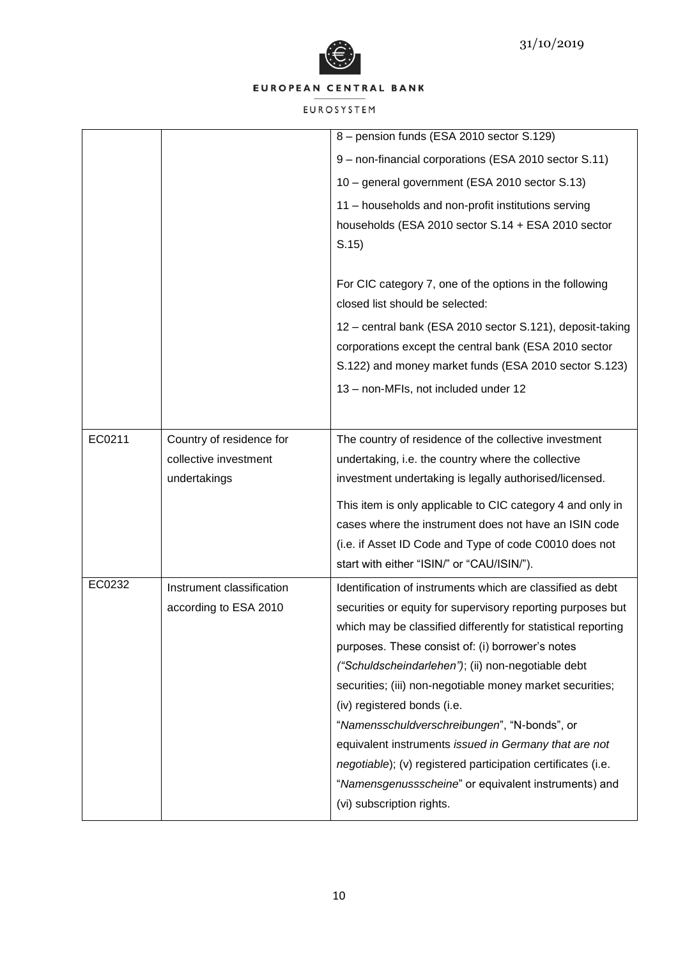

|        |                           | 8 - pension funds (ESA 2010 sector S.129)                     |
|--------|---------------------------|---------------------------------------------------------------|
|        |                           | 9 - non-financial corporations (ESA 2010 sector S.11)         |
|        |                           | 10 - general government (ESA 2010 sector S.13)                |
|        |                           | 11 - households and non-profit institutions serving           |
|        |                           | households (ESA 2010 sector S.14 + ESA 2010 sector            |
|        |                           | S.15)                                                         |
|        |                           |                                                               |
|        |                           | For CIC category 7, one of the options in the following       |
|        |                           | closed list should be selected:                               |
|        |                           | 12 - central bank (ESA 2010 sector S.121), deposit-taking     |
|        |                           | corporations except the central bank (ESA 2010 sector         |
|        |                           | S.122) and money market funds (ESA 2010 sector S.123)         |
|        |                           | 13 - non-MFIs, not included under 12                          |
|        |                           |                                                               |
| EC0211 | Country of residence for  | The country of residence of the collective investment         |
|        | collective investment     | undertaking, i.e. the country where the collective            |
|        | undertakings              | investment undertaking is legally authorised/licensed.        |
|        |                           | This item is only applicable to CIC category 4 and only in    |
|        |                           | cases where the instrument does not have an ISIN code         |
|        |                           | (i.e. if Asset ID Code and Type of code C0010 does not        |
|        |                           | start with either "ISIN/" or "CAU/ISIN/").                    |
| EC0232 | Instrument classification | Identification of instruments which are classified as debt    |
|        | according to ESA 2010     | securities or equity for supervisory reporting purposes but   |
|        |                           | which may be classified differently for statistical reporting |
|        |                           | purposes. These consist of: (i) borrower's notes              |
|        |                           | ("Schuldscheindarlehen"); (ii) non-negotiable debt            |
|        |                           | securities; (iii) non-negotiable money market securities;     |
|        |                           | (iv) registered bonds (i.e.                                   |
|        |                           | "Namensschuldverschreibungen", "N-bonds", or                  |
|        |                           | equivalent instruments issued in Germany that are not         |
|        |                           | negotiable); (v) registered participation certificates (i.e.  |
|        |                           | "Namensgenussscheine" or equivalent instruments) and          |
|        |                           | (vi) subscription rights.                                     |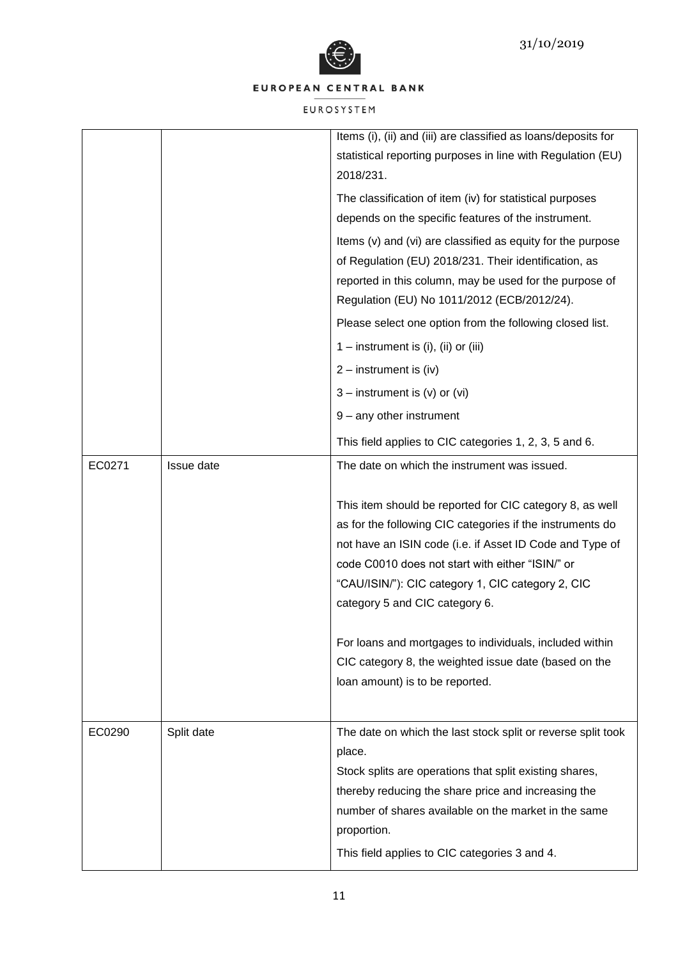

|        |            | Items (i), (ii) and (iii) are classified as loans/deposits for<br>statistical reporting purposes in line with Regulation (EU)<br>2018/231.                                                                                                                                                                                   |
|--------|------------|------------------------------------------------------------------------------------------------------------------------------------------------------------------------------------------------------------------------------------------------------------------------------------------------------------------------------|
|        |            | The classification of item (iv) for statistical purposes                                                                                                                                                                                                                                                                     |
|        |            | depends on the specific features of the instrument.                                                                                                                                                                                                                                                                          |
|        |            | Items (v) and (vi) are classified as equity for the purpose<br>of Regulation (EU) 2018/231. Their identification, as                                                                                                                                                                                                         |
|        |            | reported in this column, may be used for the purpose of<br>Regulation (EU) No 1011/2012 (ECB/2012/24).                                                                                                                                                                                                                       |
|        |            | Please select one option from the following closed list.                                                                                                                                                                                                                                                                     |
|        |            | 1 – instrument is $(i)$ , $(ii)$ or $(iii)$                                                                                                                                                                                                                                                                                  |
|        |            | $2 -$ instrument is (iv)                                                                                                                                                                                                                                                                                                     |
|        |            | $3$ – instrument is (v) or (vi)                                                                                                                                                                                                                                                                                              |
|        |            | 9 - any other instrument                                                                                                                                                                                                                                                                                                     |
|        |            |                                                                                                                                                                                                                                                                                                                              |
|        |            | This field applies to CIC categories 1, 2, 3, 5 and 6.                                                                                                                                                                                                                                                                       |
| EC0271 | Issue date | The date on which the instrument was issued.                                                                                                                                                                                                                                                                                 |
|        |            | This item should be reported for CIC category 8, as well<br>as for the following CIC categories if the instruments do<br>not have an ISIN code (i.e. if Asset ID Code and Type of<br>code C0010 does not start with either "ISIN/" or<br>"CAU/ISIN/"): CIC category 1, CIC category 2, CIC<br>category 5 and CIC category 6. |
|        |            | For loans and mortgages to individuals, included within                                                                                                                                                                                                                                                                      |
|        |            | CIC category 8, the weighted issue date (based on the                                                                                                                                                                                                                                                                        |
|        |            | loan amount) is to be reported.                                                                                                                                                                                                                                                                                              |
|        |            |                                                                                                                                                                                                                                                                                                                              |
| EC0290 | Split date | The date on which the last stock split or reverse split took<br>place.                                                                                                                                                                                                                                                       |
|        |            | Stock splits are operations that split existing shares,                                                                                                                                                                                                                                                                      |
|        |            | thereby reducing the share price and increasing the                                                                                                                                                                                                                                                                          |
|        |            | number of shares available on the market in the same                                                                                                                                                                                                                                                                         |
|        |            | proportion.                                                                                                                                                                                                                                                                                                                  |
|        |            | This field applies to CIC categories 3 and 4.                                                                                                                                                                                                                                                                                |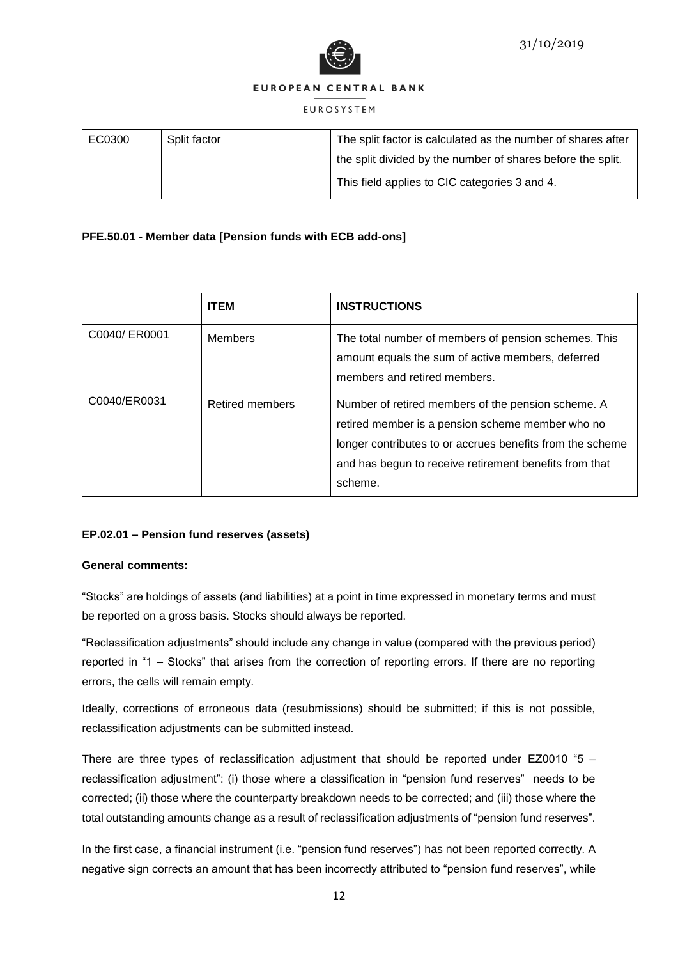

#### **EUROSYSTEM**

| EC0300 | Split factor | The split factor is calculated as the number of shares after |
|--------|--------------|--------------------------------------------------------------|
|        |              | the split divided by the number of shares before the split.  |
|        |              | This field applies to CIC categories 3 and 4.                |

# **PFE.50.01 - Member data [Pension funds with ECB add-ons]**

|               | <b>ITEM</b>     | <b>INSTRUCTIONS</b>                                                                                                                                                                                                                      |
|---------------|-----------------|------------------------------------------------------------------------------------------------------------------------------------------------------------------------------------------------------------------------------------------|
| C0040/ ER0001 | Members         | The total number of members of pension schemes. This<br>amount equals the sum of active members, deferred<br>members and retired members.                                                                                                |
| C0040/ER0031  | Retired members | Number of retired members of the pension scheme. A<br>retired member is a pension scheme member who no<br>longer contributes to or accrues benefits from the scheme<br>and has begun to receive retirement benefits from that<br>scheme. |

# **EP.02.01 – Pension fund reserves (assets)**

### **General comments:**

"Stocks" are holdings of assets (and liabilities) at a point in time expressed in monetary terms and must be reported on a gross basis. Stocks should always be reported.

"Reclassification adjustments" should include any change in value (compared with the previous period) reported in "1 – Stocks" that arises from the correction of reporting errors. If there are no reporting errors, the cells will remain empty.

Ideally, corrections of erroneous data (resubmissions) should be submitted; if this is not possible, reclassification adjustments can be submitted instead.

There are three types of reclassification adjustment that should be reported under EZ0010 "5 – reclassification adjustment": (i) those where a classification in "pension fund reserves" needs to be corrected; (ii) those where the counterparty breakdown needs to be corrected; and (iii) those where the total outstanding amounts change as a result of reclassification adjustments of "pension fund reserves".

In the first case, a financial instrument (i.e. "pension fund reserves") has not been reported correctly. A negative sign corrects an amount that has been incorrectly attributed to "pension fund reserves", while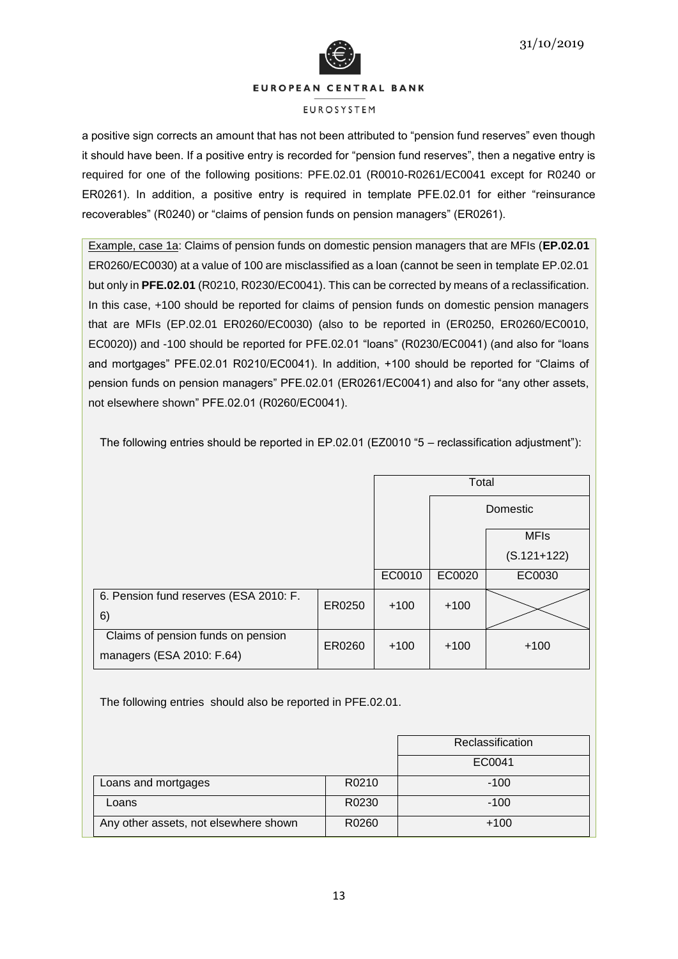



#### **FUROSYSTEM**

a positive sign corrects an amount that has not been attributed to "pension fund reserves" even though it should have been. If a positive entry is recorded for "pension fund reserves", then a negative entry is required for one of the following positions: PFE.02.01 (R0010-R0261/EC0041 except for R0240 or ER0261). In addition, a positive entry is required in template PFE.02.01 for either "reinsurance recoverables" (R0240) or "claims of pension funds on pension managers" (ER0261).

Example, case 1a: Claims of pension funds on domestic pension managers that are MFIs (**EP.02.01** ER0260/EC0030) at a value of 100 are misclassified as a loan (cannot be seen in template EP.02.01 but only in **PFE.02.01** (R0210, R0230/EC0041). This can be corrected by means of a reclassification. In this case, +100 should be reported for claims of pension funds on domestic pension managers that are MFIs (EP.02.01 ER0260/EC0030) (also to be reported in (ER0250, ER0260/EC0010, EC0020)) and -100 should be reported for PFE.02.01 "loans" (R0230/EC0041) (and also for "loans and mortgages" PFE.02.01 R0210/EC0041). In addition, +100 should be reported for "Claims of pension funds on pension managers" PFE.02.01 (ER0261/EC0041) and also for "any other assets, not elsewhere shown" PFE.02.01 (R0260/EC0041).

The following entries should be reported in EP.02.01 (EZ0010 "5 – reclassification adjustment"):

|                                                                 |        |        | Total  |               |
|-----------------------------------------------------------------|--------|--------|--------|---------------|
|                                                                 |        |        |        | Domestic      |
|                                                                 |        |        |        | <b>MFIs</b>   |
|                                                                 |        |        |        | $(S.121+122)$ |
|                                                                 |        | EC0010 | EC0020 | EC0030        |
| 6. Pension fund reserves (ESA 2010: F.<br>6)                    | ER0250 | $+100$ | $+100$ |               |
| Claims of pension funds on pension<br>managers (ESA 2010: F.64) | ER0260 | $+100$ | $+100$ | $+100$        |

The following entries should also be reported in PFE.02.01.

|                                       |       | Reclassification |
|---------------------------------------|-------|------------------|
|                                       |       | EC0041           |
| Loans and mortgages                   | R0210 | $-100$           |
| Loans                                 | R0230 | $-100$           |
| Any other assets, not elsewhere shown | R0260 | $+100$           |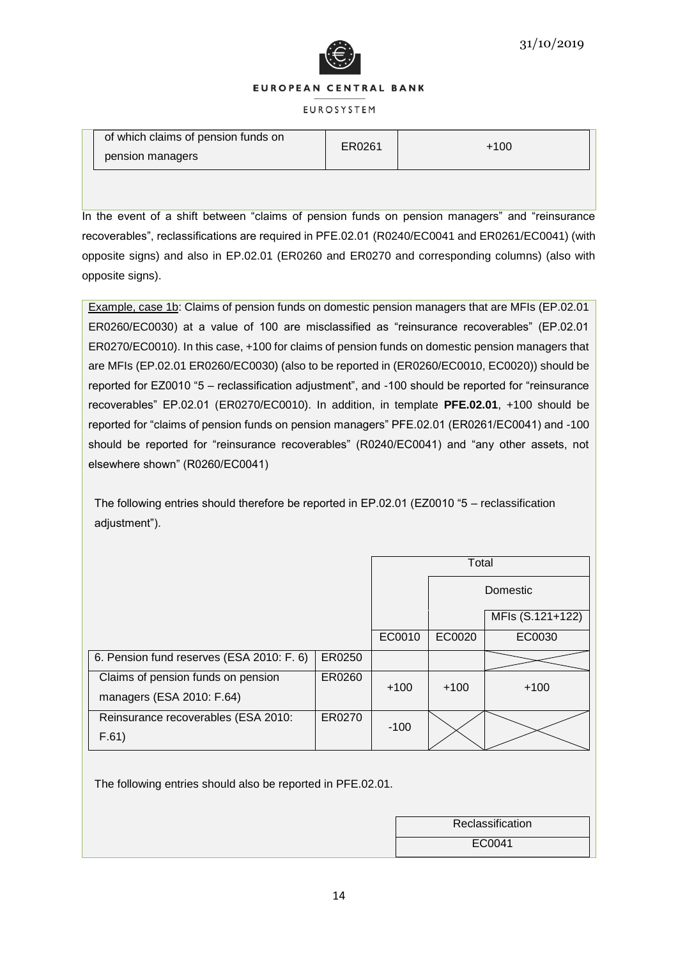

#### **FUROSYSTEM**

| of which claims of pension funds on<br>ER0261<br>pension managers | $+100$ |
|-------------------------------------------------------------------|--------|
|-------------------------------------------------------------------|--------|

In the event of a shift between "claims of pension funds on pension managers" and "reinsurance recoverables", reclassifications are required in PFE.02.01 (R0240/EC0041 and ER0261/EC0041) (with opposite signs) and also in EP.02.01 (ER0260 and ER0270 and corresponding columns) (also with opposite signs).

Example, case 1b: Claims of pension funds on domestic pension managers that are MFIs (EP.02.01 ER0260/EC0030) at a value of 100 are misclassified as "reinsurance recoverables" (EP.02.01 ER0270/EC0010). In this case, +100 for claims of pension funds on domestic pension managers that are MFIs (EP.02.01 ER0260/EC0030) (also to be reported in (ER0260/EC0010, EC0020)) should be reported for EZ0010 "5 – reclassification adjustment", and -100 should be reported for "reinsurance recoverables" EP.02.01 (ER0270/EC0010). In addition, in template **PFE.02.01**, +100 should be reported for "claims of pension funds on pension managers" PFE.02.01 (ER0261/EC0041) and -100 should be reported for "reinsurance recoverables" (R0240/EC0041) and "any other assets, not elsewhere shown" (R0260/EC0041)

The following entries should therefore be reported in EP.02.01 (EZ0010 "5 – reclassification adjustment").

|                                                                 |        |        | Total  |                  |
|-----------------------------------------------------------------|--------|--------|--------|------------------|
|                                                                 |        |        |        | Domestic         |
|                                                                 |        |        |        | MFIs (S.121+122) |
|                                                                 |        | EC0010 | EC0020 | EC0030           |
| 6. Pension fund reserves (ESA 2010: F. 6)                       | ER0250 |        |        |                  |
| Claims of pension funds on pension<br>managers (ESA 2010: F.64) | ER0260 | $+100$ | $+100$ | $+100$           |
| Reinsurance recoverables (ESA 2010:<br>F.61)                    | ER0270 | $-100$ |        |                  |

The following entries should also be reported in PFE.02.01.

| Reclassification |  |
|------------------|--|
| EC0041           |  |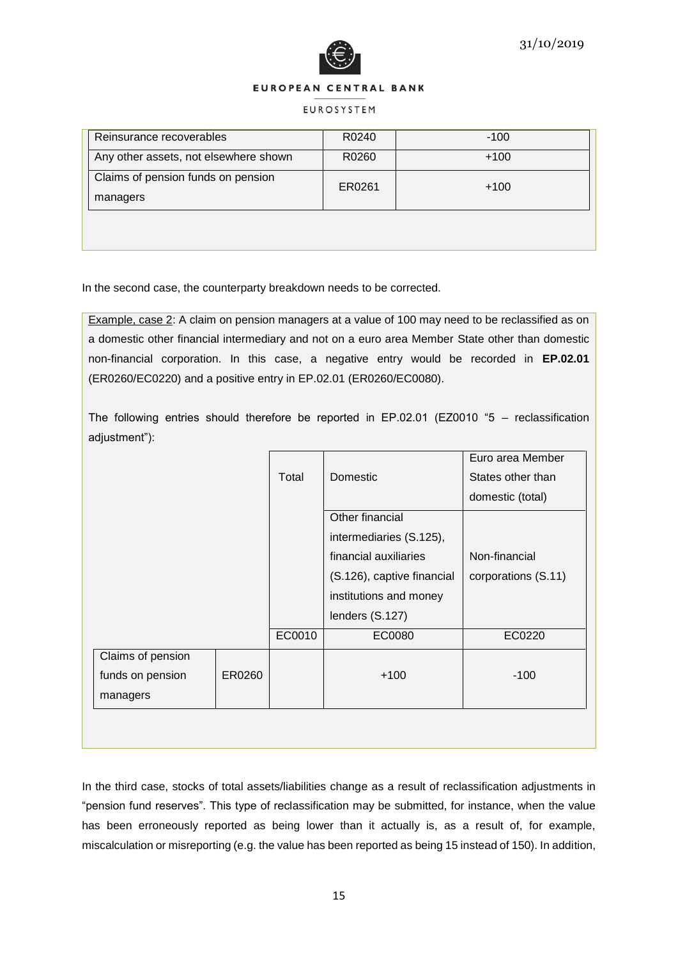



#### **EUROSYSTEM**

| Reinsurance recoverables                       | R0240  | $-100$ |
|------------------------------------------------|--------|--------|
| Any other assets, not elsewhere shown          | R0260  | $+100$ |
| Claims of pension funds on pension<br>managers | ER0261 | $+100$ |
|                                                |        |        |

In the second case, the counterparty breakdown needs to be corrected.

Example, case 2: A claim on pension managers at a value of 100 may need to be reclassified as on a domestic other financial intermediary and not on a euro area Member State other than domestic non-financial corporation. In this case, a negative entry would be recorded in **EP.02.01** (ER0260/EC0220) and a positive entry in EP.02.01 (ER0260/EC0080).

The following entries should therefore be reported in EP.02.01 (EZ0010 "5 – reclassification adjustment"):

|                   |        |        |                            | Euro area Member    |
|-------------------|--------|--------|----------------------------|---------------------|
|                   |        | Total  | Domestic                   | States other than   |
|                   |        |        |                            | domestic (total)    |
|                   |        |        | Other financial            |                     |
|                   |        |        | intermediaries (S.125),    |                     |
|                   |        |        | financial auxiliaries      | Non-financial       |
|                   |        |        | (S.126), captive financial | corporations (S.11) |
|                   |        |        | institutions and money     |                     |
|                   |        |        | lenders (S.127)            |                     |
|                   |        | EC0010 | EC0080                     | EC0220              |
| Claims of pension |        |        |                            |                     |
| funds on pension  | ER0260 |        | $+100$                     | $-100$              |
| managers          |        |        |                            |                     |
|                   |        |        |                            |                     |

In the third case, stocks of total assets/liabilities change as a result of reclassification adjustments in "pension fund reserves". This type of reclassification may be submitted, for instance, when the value has been erroneously reported as being lower than it actually is, as a result of, for example, miscalculation or misreporting (e.g. the value has been reported as being 15 instead of 150). In addition,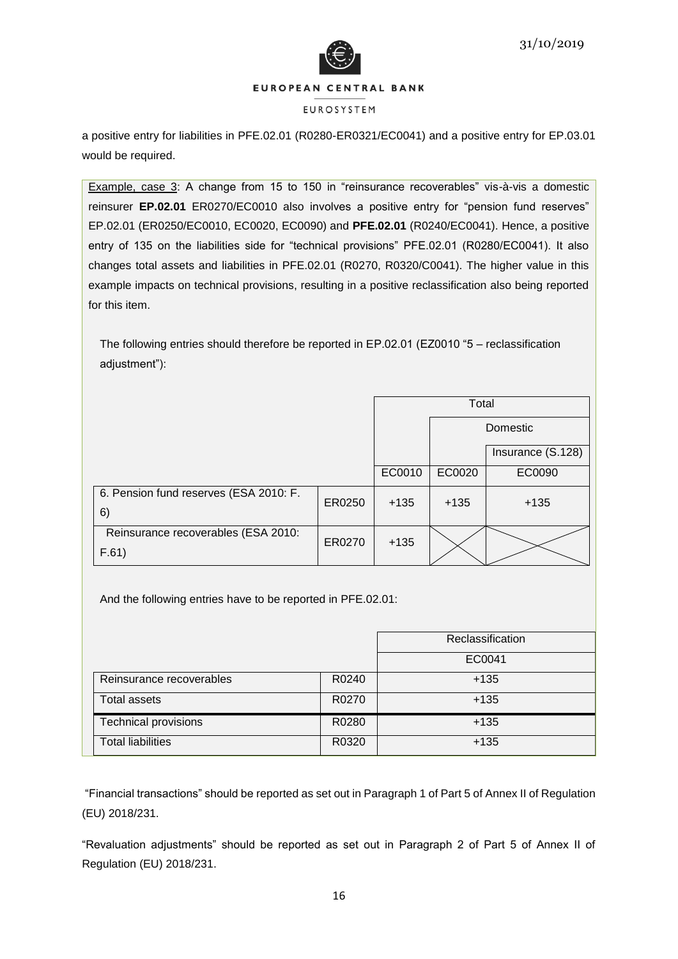

#### **EUROSYSTEM**

a positive entry for liabilities in PFE.02.01 (R0280-ER0321/EC0041) and a positive entry for EP.03.01 would be required.

Example, case 3: A change from 15 to 150 in "reinsurance recoverables" vis-à-vis a domestic reinsurer **EP.02.01** ER0270/EC0010 also involves a positive entry for "pension fund reserves" EP.02.01 (ER0250/EC0010, EC0020, EC0090) and **PFE.02.01** (R0240/EC0041). Hence, a positive entry of 135 on the liabilities side for "technical provisions" PFE.02.01 (R0280/EC0041). It also changes total assets and liabilities in PFE.02.01 (R0270, R0320/C0041). The higher value in this example impacts on technical provisions, resulting in a positive reclassification also being reported for this item.

The following entries should therefore be reported in EP.02.01 (EZ0010 "5 – reclassification adjustment"):

|                                              |        |        | Total  |                   |
|----------------------------------------------|--------|--------|--------|-------------------|
|                                              |        |        |        | Domestic          |
|                                              |        |        |        | Insurance (S.128) |
|                                              |        | EC0010 | EC0020 | EC0090            |
| 6. Pension fund reserves (ESA 2010: F.<br>6) | ER0250 | $+135$ | $+135$ | $+135$            |
| Reinsurance recoverables (ESA 2010:<br>F.61) | ER0270 | $+135$ |        |                   |

And the following entries have to be reported in PFE.02.01:

|                             |       | Reclassification |
|-----------------------------|-------|------------------|
|                             |       | EC0041           |
| Reinsurance recoverables    | R0240 | $+135$           |
| <b>Total assets</b>         | R0270 | $+135$           |
| <b>Technical provisions</b> | R0280 | $+135$           |
| <b>Total liabilities</b>    | R0320 | $+135$           |

"Financial transactions" should be reported as set out in Paragraph 1 of Part 5 of Annex II of Regulation (EU) 2018/231.

"Revaluation adjustments" should be reported as set out in Paragraph 2 of Part 5 of Annex II of Regulation (EU) 2018/231.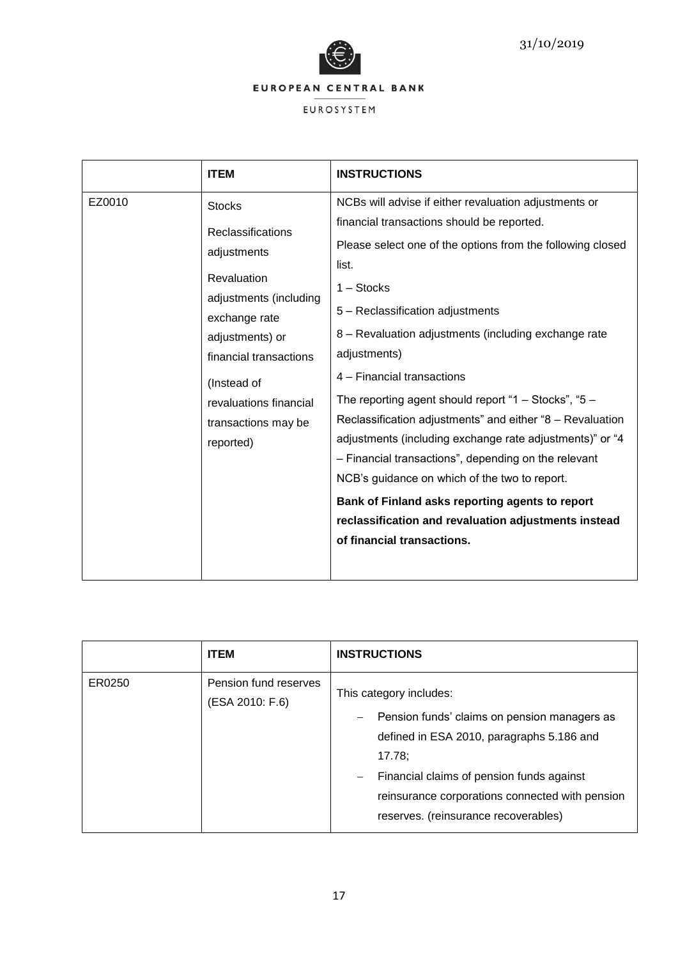



| <b>ITEM</b>                                                                                                                                                                                                                                     | <b>INSTRUCTIONS</b>                                                                                                                                                                                                                                                                                                                                                                                                                                                                                                                                                                                                                                                                                                                                                     |
|-------------------------------------------------------------------------------------------------------------------------------------------------------------------------------------------------------------------------------------------------|-------------------------------------------------------------------------------------------------------------------------------------------------------------------------------------------------------------------------------------------------------------------------------------------------------------------------------------------------------------------------------------------------------------------------------------------------------------------------------------------------------------------------------------------------------------------------------------------------------------------------------------------------------------------------------------------------------------------------------------------------------------------------|
| EZ0010<br><b>Stocks</b><br>Reclassifications<br>adjustments<br>Revaluation<br>adjustments (including<br>exchange rate<br>adjustments) or<br>financial transactions<br>(Instead of<br>revaluations financial<br>transactions may be<br>reported) | NCBs will advise if either revaluation adjustments or<br>financial transactions should be reported.<br>Please select one of the options from the following closed<br>list.<br>$1 -$ Stocks<br>5 - Reclassification adjustments<br>8 - Revaluation adjustments (including exchange rate<br>adjustments)<br>4 - Financial transactions<br>The reporting agent should report "1 – Stocks", "5 –<br>Reclassification adjustments" and either "8 - Revaluation<br>adjustments (including exchange rate adjustments)" or "4<br>- Financial transactions", depending on the relevant<br>NCB's guidance on which of the two to report.<br>Bank of Finland asks reporting agents to report<br>reclassification and revaluation adjustments instead<br>of financial transactions. |

|        | <b>ITEM</b>                              | <b>INSTRUCTIONS</b>                                                                                                                                                                                                                                                                                                            |
|--------|------------------------------------------|--------------------------------------------------------------------------------------------------------------------------------------------------------------------------------------------------------------------------------------------------------------------------------------------------------------------------------|
| ER0250 | Pension fund reserves<br>(ESA 2010: F.6) | This category includes:<br>Pension funds' claims on pension managers as<br>$\overline{\phantom{m}}$<br>defined in ESA 2010, paragraphs 5.186 and<br>17.78;<br>Financial claims of pension funds against<br>$\overline{\phantom{m}}$<br>reinsurance corporations connected with pension<br>reserves. (reinsurance recoverables) |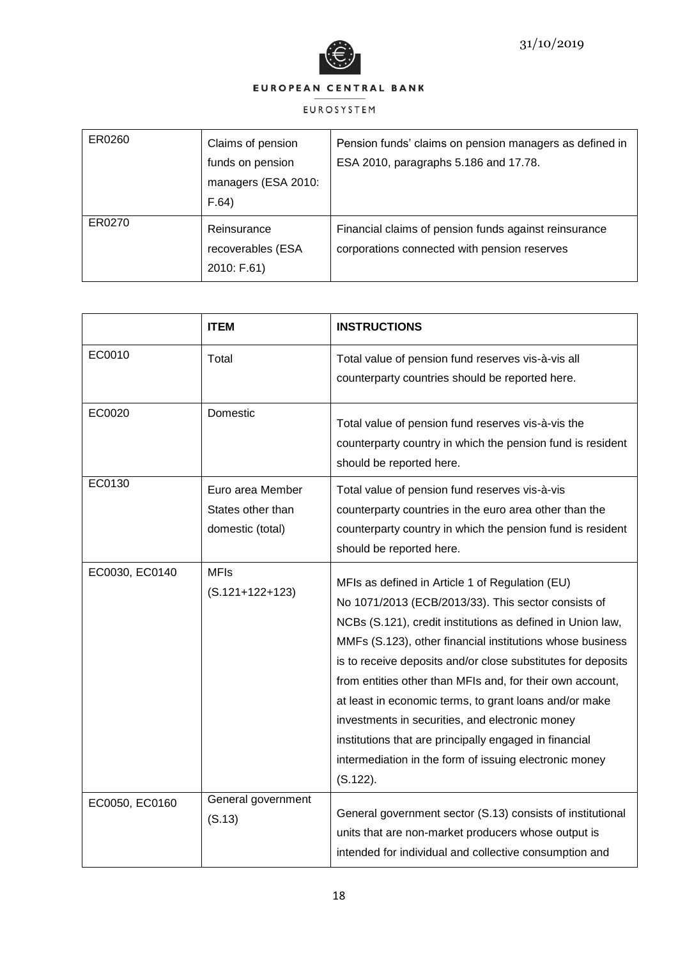

| ER0260 | Claims of pension<br>funds on pension<br>managers (ESA 2010:<br>F.64) | Pension funds' claims on pension managers as defined in<br>ESA 2010, paragraphs 5.186 and 17.78.      |
|--------|-----------------------------------------------------------------------|-------------------------------------------------------------------------------------------------------|
| ER0270 | Reinsurance<br>recoverables (ESA<br>2010: F.61)                       | Financial claims of pension funds against reinsurance<br>corporations connected with pension reserves |

|                | <b>ITEM</b>                                               | <b>INSTRUCTIONS</b>                                                                                                                                                                                                                                                                                                                                                                                                                                                                                                                                                                                         |
|----------------|-----------------------------------------------------------|-------------------------------------------------------------------------------------------------------------------------------------------------------------------------------------------------------------------------------------------------------------------------------------------------------------------------------------------------------------------------------------------------------------------------------------------------------------------------------------------------------------------------------------------------------------------------------------------------------------|
| EC0010         | Total                                                     | Total value of pension fund reserves vis-à-vis all<br>counterparty countries should be reported here.                                                                                                                                                                                                                                                                                                                                                                                                                                                                                                       |
| EC0020         | Domestic                                                  | Total value of pension fund reserves vis-à-vis the<br>counterparty country in which the pension fund is resident<br>should be reported here.                                                                                                                                                                                                                                                                                                                                                                                                                                                                |
| EC0130         | Euro area Member<br>States other than<br>domestic (total) | Total value of pension fund reserves vis-à-vis<br>counterparty countries in the euro area other than the<br>counterparty country in which the pension fund is resident<br>should be reported here.                                                                                                                                                                                                                                                                                                                                                                                                          |
| EC0030, EC0140 | <b>MFIs</b><br>$(S.121+122+123)$                          | MFIs as defined in Article 1 of Regulation (EU)<br>No 1071/2013 (ECB/2013/33). This sector consists of<br>NCBs (S.121), credit institutions as defined in Union law,<br>MMFs (S.123), other financial institutions whose business<br>is to receive deposits and/or close substitutes for deposits<br>from entities other than MFIs and, for their own account,<br>at least in economic terms, to grant loans and/or make<br>investments in securities, and electronic money<br>institutions that are principally engaged in financial<br>intermediation in the form of issuing electronic money<br>(S.122). |
| EC0050, EC0160 | General government<br>(S.13)                              | General government sector (S.13) consists of institutional<br>units that are non-market producers whose output is<br>intended for individual and collective consumption and                                                                                                                                                                                                                                                                                                                                                                                                                                 |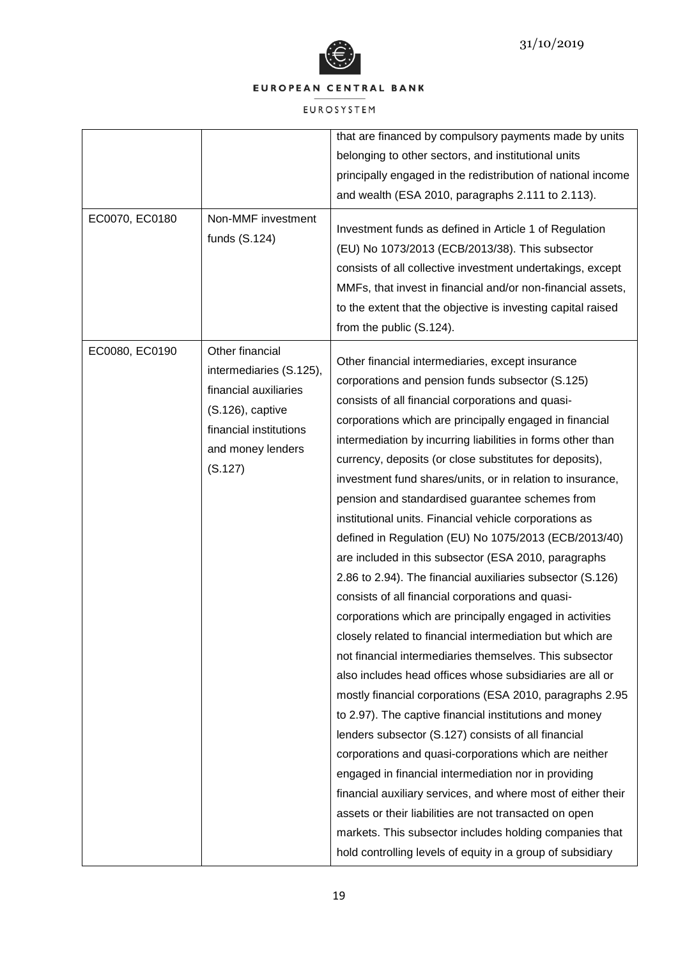

|                |                                                                                                                                                   | that are financed by compulsory payments made by units                                                                                                                                                                                                                                                                                                                                                                                                                                                                                                                                                                                                                                                                                                                                                                                                                                                                                                                                                                                                                                                                                                                                                                                                                                                                                                                                                                                                                                                                                                         |
|----------------|---------------------------------------------------------------------------------------------------------------------------------------------------|----------------------------------------------------------------------------------------------------------------------------------------------------------------------------------------------------------------------------------------------------------------------------------------------------------------------------------------------------------------------------------------------------------------------------------------------------------------------------------------------------------------------------------------------------------------------------------------------------------------------------------------------------------------------------------------------------------------------------------------------------------------------------------------------------------------------------------------------------------------------------------------------------------------------------------------------------------------------------------------------------------------------------------------------------------------------------------------------------------------------------------------------------------------------------------------------------------------------------------------------------------------------------------------------------------------------------------------------------------------------------------------------------------------------------------------------------------------------------------------------------------------------------------------------------------------|
|                |                                                                                                                                                   | belonging to other sectors, and institutional units                                                                                                                                                                                                                                                                                                                                                                                                                                                                                                                                                                                                                                                                                                                                                                                                                                                                                                                                                                                                                                                                                                                                                                                                                                                                                                                                                                                                                                                                                                            |
|                |                                                                                                                                                   | principally engaged in the redistribution of national income                                                                                                                                                                                                                                                                                                                                                                                                                                                                                                                                                                                                                                                                                                                                                                                                                                                                                                                                                                                                                                                                                                                                                                                                                                                                                                                                                                                                                                                                                                   |
|                |                                                                                                                                                   | and wealth (ESA 2010, paragraphs 2.111 to 2.113).                                                                                                                                                                                                                                                                                                                                                                                                                                                                                                                                                                                                                                                                                                                                                                                                                                                                                                                                                                                                                                                                                                                                                                                                                                                                                                                                                                                                                                                                                                              |
| EC0070, EC0180 | Non-MMF investment<br>funds (S.124)                                                                                                               | Investment funds as defined in Article 1 of Regulation<br>(EU) No 1073/2013 (ECB/2013/38). This subsector<br>consists of all collective investment undertakings, except<br>MMFs, that invest in financial and/or non-financial assets,<br>to the extent that the objective is investing capital raised<br>from the public (S.124).                                                                                                                                                                                                                                                                                                                                                                                                                                                                                                                                                                                                                                                                                                                                                                                                                                                                                                                                                                                                                                                                                                                                                                                                                             |
| EC0080, EC0190 | Other financial<br>intermediaries (S.125),<br>financial auxiliaries<br>(S.126), captive<br>financial institutions<br>and money lenders<br>(S.127) | Other financial intermediaries, except insurance<br>corporations and pension funds subsector (S.125)<br>consists of all financial corporations and quasi-<br>corporations which are principally engaged in financial<br>intermediation by incurring liabilities in forms other than<br>currency, deposits (or close substitutes for deposits),<br>investment fund shares/units, or in relation to insurance,<br>pension and standardised guarantee schemes from<br>institutional units. Financial vehicle corporations as<br>defined in Regulation (EU) No 1075/2013 (ECB/2013/40)<br>are included in this subsector (ESA 2010, paragraphs<br>2.86 to 2.94). The financial auxiliaries subsector (S.126)<br>consists of all financial corporations and quasi-<br>corporations which are principally engaged in activities<br>closely related to financial intermediation but which are<br>not financial intermediaries themselves. This subsector<br>also includes head offices whose subsidiaries are all or<br>mostly financial corporations (ESA 2010, paragraphs 2.95<br>to 2.97). The captive financial institutions and money<br>lenders subsector (S.127) consists of all financial<br>corporations and quasi-corporations which are neither<br>engaged in financial intermediation nor in providing<br>financial auxiliary services, and where most of either their<br>assets or their liabilities are not transacted on open<br>markets. This subsector includes holding companies that<br>hold controlling levels of equity in a group of subsidiary |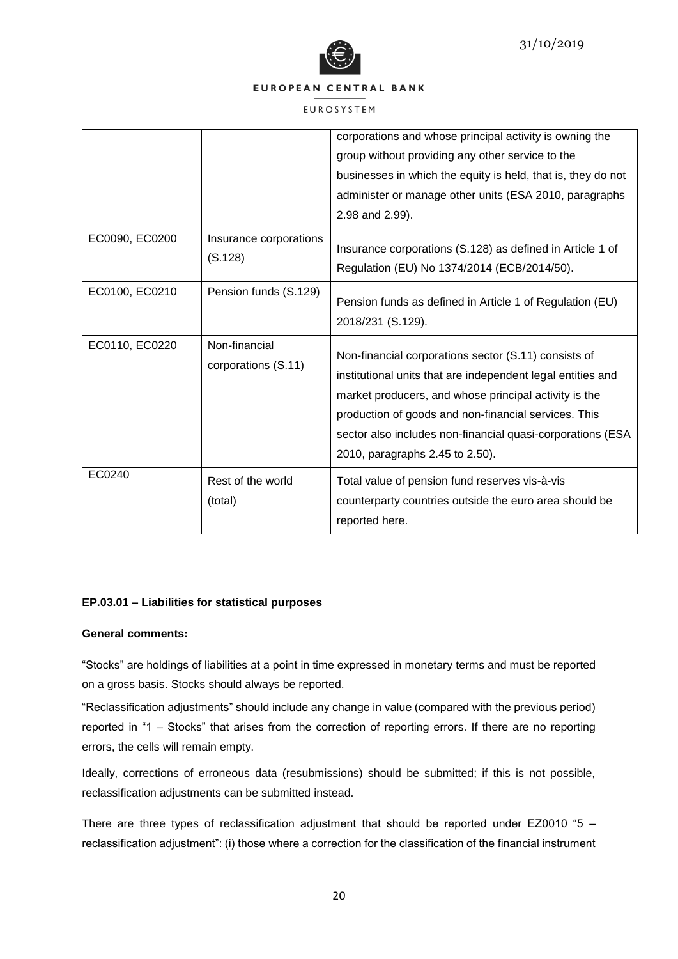



#### EUROSYSTEM

|                |                                      | corporations and whose principal activity is owning the<br>group without providing any other service to the<br>businesses in which the equity is held, that is, they do not<br>administer or manage other units (ESA 2010, paragraphs<br>2.98 and 2.99).                                                                              |
|----------------|--------------------------------------|---------------------------------------------------------------------------------------------------------------------------------------------------------------------------------------------------------------------------------------------------------------------------------------------------------------------------------------|
| EC0090, EC0200 | Insurance corporations<br>(S.128)    | Insurance corporations (S.128) as defined in Article 1 of<br>Regulation (EU) No 1374/2014 (ECB/2014/50).                                                                                                                                                                                                                              |
| EC0100, EC0210 | Pension funds (S.129)                | Pension funds as defined in Article 1 of Regulation (EU)<br>2018/231 (S.129).                                                                                                                                                                                                                                                         |
| EC0110, EC0220 | Non-financial<br>corporations (S.11) | Non-financial corporations sector (S.11) consists of<br>institutional units that are independent legal entities and<br>market producers, and whose principal activity is the<br>production of goods and non-financial services. This<br>sector also includes non-financial quasi-corporations (ESA<br>2010, paragraphs 2.45 to 2.50). |
| EC0240         | Rest of the world<br>(total)         | Total value of pension fund reserves vis-à-vis<br>counterparty countries outside the euro area should be<br>reported here.                                                                                                                                                                                                            |

# **EP.03.01 – Liabilities for statistical purposes**

# **General comments:**

"Stocks" are holdings of liabilities at a point in time expressed in monetary terms and must be reported on a gross basis. Stocks should always be reported.

"Reclassification adjustments" should include any change in value (compared with the previous period) reported in "1 – Stocks" that arises from the correction of reporting errors. If there are no reporting errors, the cells will remain empty.

Ideally, corrections of erroneous data (resubmissions) should be submitted; if this is not possible, reclassification adjustments can be submitted instead.

There are three types of reclassification adjustment that should be reported under EZ0010 "5 – reclassification adjustment": (i) those where a correction for the classification of the financial instrument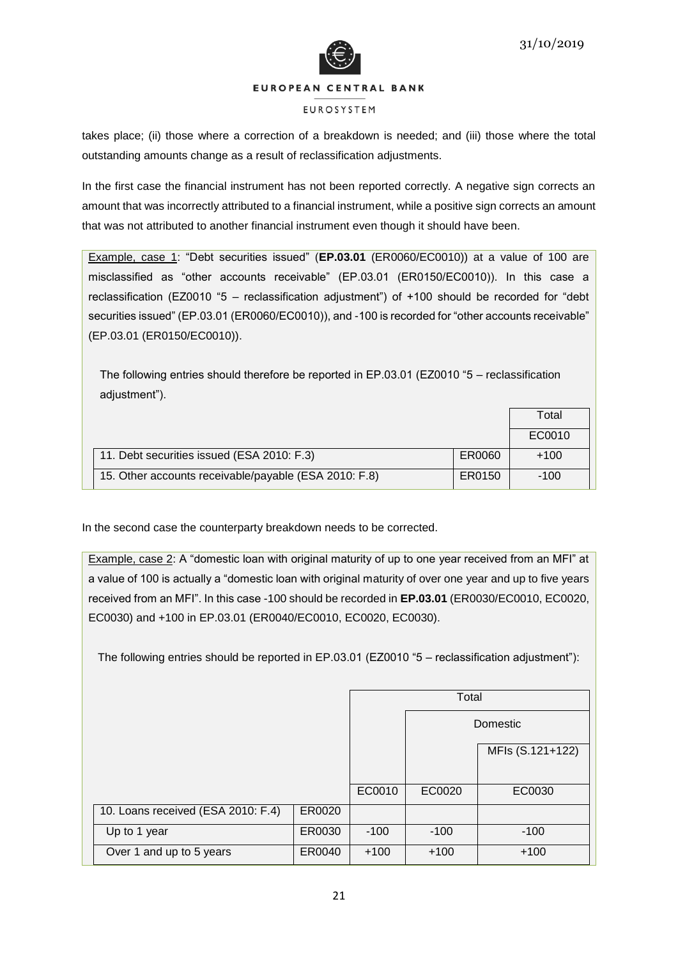



#### **FUROSYSTEM**

takes place; (ii) those where a correction of a breakdown is needed; and (iii) those where the total outstanding amounts change as a result of reclassification adjustments.

In the first case the financial instrument has not been reported correctly. A negative sign corrects an amount that was incorrectly attributed to a financial instrument, while a positive sign corrects an amount that was not attributed to another financial instrument even though it should have been.

Example, case 1: "Debt securities issued" (**EP.03.01** (ER0060/EC0010)) at a value of 100 are misclassified as "other accounts receivable" (EP.03.01 (ER0150/EC0010)). In this case a reclassification (EZ0010 "5 – reclassification adjustment") of +100 should be recorded for "debt securities issued" (EP.03.01 (ER0060/EC0010)), and -100 is recorded for "other accounts receivable" (EP.03.01 (ER0150/EC0010)).

The following entries should therefore be reported in EP.03.01 (EZ0010 "5 – reclassification adjustment").

|                                                       |        | Total  |
|-------------------------------------------------------|--------|--------|
|                                                       |        | EC0010 |
| 11. Debt securities issued (ESA 2010: F.3)            | ER0060 | $+100$ |
| 15. Other accounts receivable/payable (ESA 2010: F.8) | ER0150 | $-100$ |

In the second case the counterparty breakdown needs to be corrected.

Example, case 2: A "domestic loan with original maturity of up to one year received from an MFI" at a value of 100 is actually a "domestic loan with original maturity of over one year and up to five years received from an MFI". In this case -100 should be recorded in **EP.03.01** (ER0030/EC0010, EC0020, EC0030) and +100 in EP.03.01 (ER0040/EC0010, EC0020, EC0030).

The following entries should be reported in EP.03.01 (EZ0010 "5 – reclassification adjustment"):

|                                    |        |        | Total  |                  |
|------------------------------------|--------|--------|--------|------------------|
|                                    |        |        |        | Domestic         |
|                                    |        |        |        | MFIs (S.121+122) |
|                                    |        |        |        |                  |
|                                    |        | EC0010 | EC0020 | EC0030           |
| 10. Loans received (ESA 2010: F.4) | ER0020 |        |        |                  |
| Up to 1 year                       | ER0030 | $-100$ | $-100$ | $-100$           |
| Over 1 and up to 5 years           | ER0040 | $+100$ | $+100$ | $+100$           |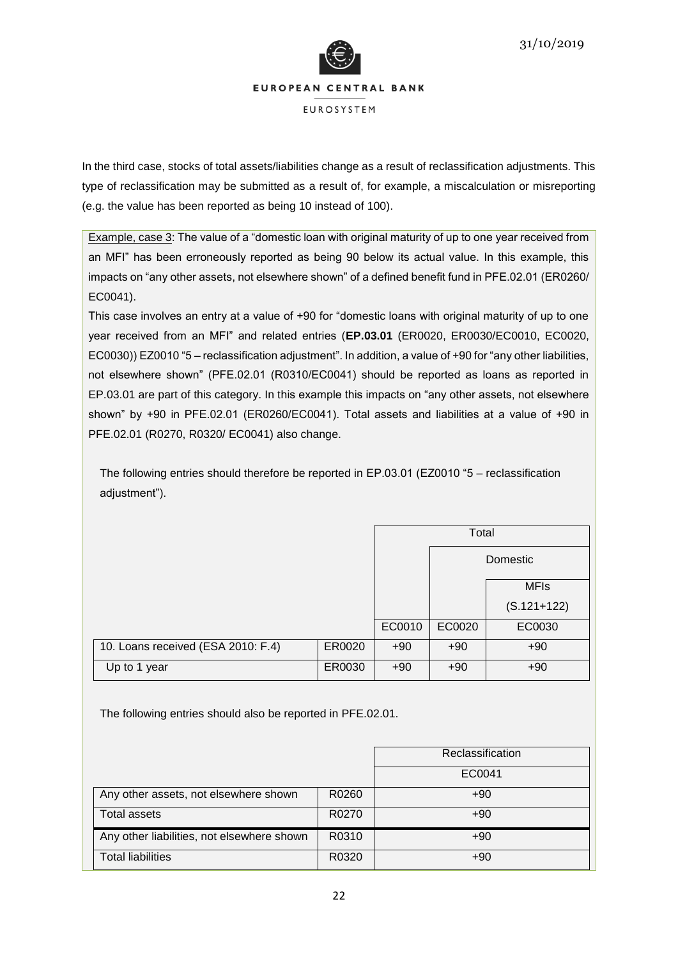

In the third case, stocks of total assets/liabilities change as a result of reclassification adjustments. This type of reclassification may be submitted as a result of, for example, a miscalculation or misreporting (e.g. the value has been reported as being 10 instead of 100).

Example, case 3: The value of a "domestic loan with original maturity of up to one year received from an MFI" has been erroneously reported as being 90 below its actual value. In this example, this impacts on "any other assets, not elsewhere shown" of a defined benefit fund in PFE.02.01 (ER0260/ EC0041).

This case involves an entry at a value of +90 for "domestic loans with original maturity of up to one year received from an MFI" and related entries (**EP.03.01** (ER0020, ER0030/EC0010, EC0020, EC0030)) EZ0010 "5 – reclassification adjustment". In addition, a value of +90 for "any other liabilities, not elsewhere shown" (PFE.02.01 (R0310/EC0041) should be reported as loans as reported in EP.03.01 are part of this category. In this example this impacts on "any other assets, not elsewhere shown" by +90 in PFE.02.01 (ER0260/EC0041). Total assets and liabilities at a value of +90 in PFE.02.01 (R0270, R0320/ EC0041) also change.

The following entries should therefore be reported in EP.03.01 (EZ0010 "5 – reclassification adjustment").

|                                    |        |        | Total  |               |
|------------------------------------|--------|--------|--------|---------------|
|                                    |        |        |        | Domestic      |
|                                    |        |        |        | <b>MFIs</b>   |
|                                    |        |        |        | $(S.121+122)$ |
|                                    |        | EC0010 | EC0020 | EC0030        |
| 10. Loans received (ESA 2010: F.4) | ER0020 | $+90$  | $+90$  | $+90$         |
| Up to 1 year                       | ER0030 | $+90$  | $+90$  | $+90$         |

The following entries should also be reported in PFE.02.01.

|                                            |       | Reclassification |
|--------------------------------------------|-------|------------------|
|                                            |       | EC0041           |
| Any other assets, not elsewhere shown      | R0260 | $+90$            |
| <b>Total assets</b>                        | R0270 | $+90$            |
| Any other liabilities, not elsewhere shown | R0310 | $+90$            |
| <b>Total liabilities</b>                   | R0320 | $+90$            |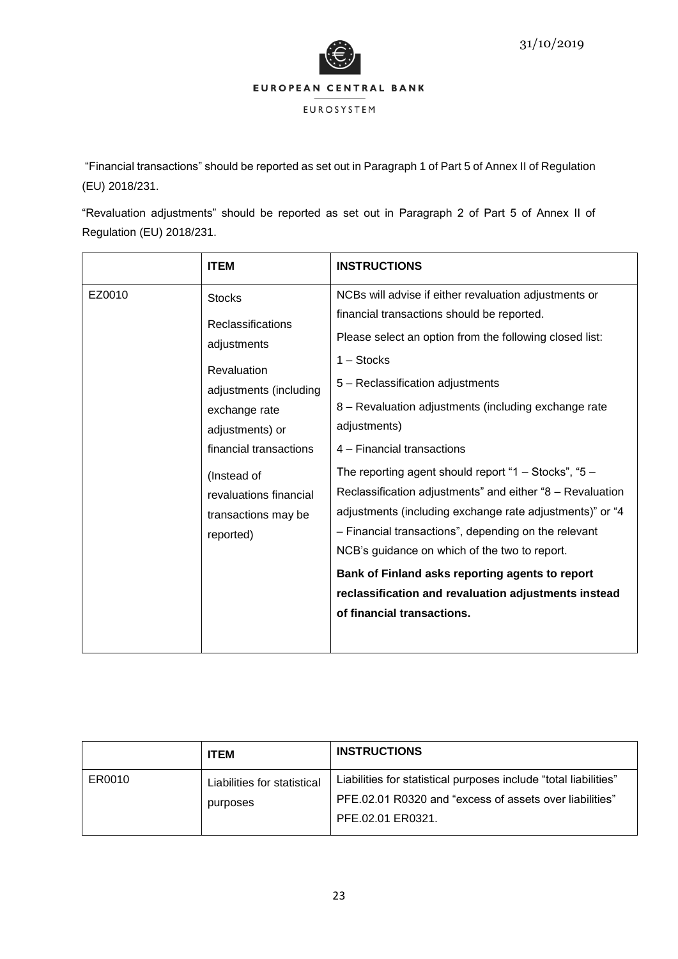

EUROSYSTEM

"Financial transactions" should be reported as set out in Paragraph 1 of Part 5 of Annex II of Regulation (EU) 2018/231.

"Revaluation adjustments" should be reported as set out in Paragraph 2 of Part 5 of Annex II of Regulation (EU) 2018/231.

|                                                                           | <b>ITEM</b>                                                                                                                                                                                                                                                                                                                                                                                                                     | <b>INSTRUCTIONS</b>                                                                                                                                                                                                                                                                                                      |
|---------------------------------------------------------------------------|---------------------------------------------------------------------------------------------------------------------------------------------------------------------------------------------------------------------------------------------------------------------------------------------------------------------------------------------------------------------------------------------------------------------------------|--------------------------------------------------------------------------------------------------------------------------------------------------------------------------------------------------------------------------------------------------------------------------------------------------------------------------|
| EZ0010                                                                    | <b>Stocks</b><br>Reclassifications<br>adjustments<br><b>Revaluation</b><br>adjustments (including<br>exchange rate<br>adjustments) or<br>financial transactions                                                                                                                                                                                                                                                                 | NCBs will advise if either revaluation adjustments or<br>financial transactions should be reported.<br>Please select an option from the following closed list:<br>$1 -$ Stocks<br>5 - Reclassification adjustments<br>8 - Revaluation adjustments (including exchange rate<br>adjustments)<br>4 - Financial transactions |
| (Instead of<br>revaluations financial<br>transactions may be<br>reported) | The reporting agent should report "1 - Stocks", "5 -<br>Reclassification adjustments" and either "8 - Revaluation<br>adjustments (including exchange rate adjustments)" or "4<br>- Financial transactions", depending on the relevant<br>NCB's guidance on which of the two to report.<br>Bank of Finland asks reporting agents to report<br>reclassification and revaluation adjustments instead<br>of financial transactions. |                                                                                                                                                                                                                                                                                                                          |

|        | <b>ITEM</b>                             | <b>INSTRUCTIONS</b>                                                                                                                              |
|--------|-----------------------------------------|--------------------------------------------------------------------------------------------------------------------------------------------------|
| ER0010 | Liabilities for statistical<br>purposes | Liabilities for statistical purposes include "total liabilities"<br>PFE,02,01 R0320 and "excess of assets over liabilities"<br>PFE.02.01 ER0321. |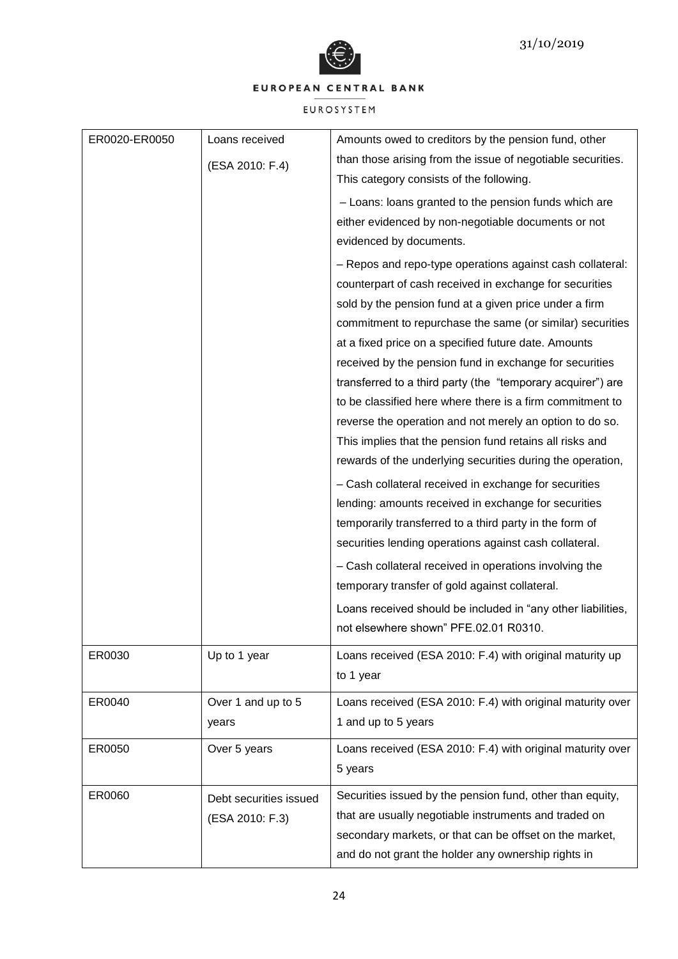

| ER0020-ER0050 | Loans received<br>(ESA 2010: F.4)         | Amounts owed to creditors by the pension fund, other<br>than those arising from the issue of negotiable securities.<br>This category consists of the following.<br>- Loans: loans granted to the pension funds which are<br>either evidenced by non-negotiable documents or not<br>evidenced by documents.<br>- Repos and repo-type operations against cash collateral:<br>counterpart of cash received in exchange for securities<br>sold by the pension fund at a given price under a firm<br>commitment to repurchase the same (or similar) securities<br>at a fixed price on a specified future date. Amounts<br>received by the pension fund in exchange for securities<br>transferred to a third party (the "temporary acquirer") are<br>to be classified here where there is a firm commitment to<br>reverse the operation and not merely an option to do so.<br>This implies that the pension fund retains all risks and<br>rewards of the underlying securities during the operation,<br>- Cash collateral received in exchange for securities<br>lending: amounts received in exchange for securities<br>temporarily transferred to a third party in the form of<br>securities lending operations against cash collateral.<br>- Cash collateral received in operations involving the<br>temporary transfer of gold against collateral.<br>Loans received should be included in "any other liabilities,<br>not elsewhere shown" PFE.02.01 R0310. |
|---------------|-------------------------------------------|-----------------------------------------------------------------------------------------------------------------------------------------------------------------------------------------------------------------------------------------------------------------------------------------------------------------------------------------------------------------------------------------------------------------------------------------------------------------------------------------------------------------------------------------------------------------------------------------------------------------------------------------------------------------------------------------------------------------------------------------------------------------------------------------------------------------------------------------------------------------------------------------------------------------------------------------------------------------------------------------------------------------------------------------------------------------------------------------------------------------------------------------------------------------------------------------------------------------------------------------------------------------------------------------------------------------------------------------------------------------------------------------------------------------------------------------------------------|
| ER0030        | Up to 1 year                              | Loans received (ESA 2010: F.4) with original maturity up<br>to 1 year                                                                                                                                                                                                                                                                                                                                                                                                                                                                                                                                                                                                                                                                                                                                                                                                                                                                                                                                                                                                                                                                                                                                                                                                                                                                                                                                                                                     |
| ER0040        | Over 1 and up to 5<br>years               | Loans received (ESA 2010: F.4) with original maturity over<br>1 and up to 5 years                                                                                                                                                                                                                                                                                                                                                                                                                                                                                                                                                                                                                                                                                                                                                                                                                                                                                                                                                                                                                                                                                                                                                                                                                                                                                                                                                                         |
| ER0050        | Over 5 years                              | Loans received (ESA 2010: F.4) with original maturity over<br>5 years                                                                                                                                                                                                                                                                                                                                                                                                                                                                                                                                                                                                                                                                                                                                                                                                                                                                                                                                                                                                                                                                                                                                                                                                                                                                                                                                                                                     |
| ER0060        | Debt securities issued<br>(ESA 2010: F.3) | Securities issued by the pension fund, other than equity,<br>that are usually negotiable instruments and traded on<br>secondary markets, or that can be offset on the market,<br>and do not grant the holder any ownership rights in                                                                                                                                                                                                                                                                                                                                                                                                                                                                                                                                                                                                                                                                                                                                                                                                                                                                                                                                                                                                                                                                                                                                                                                                                      |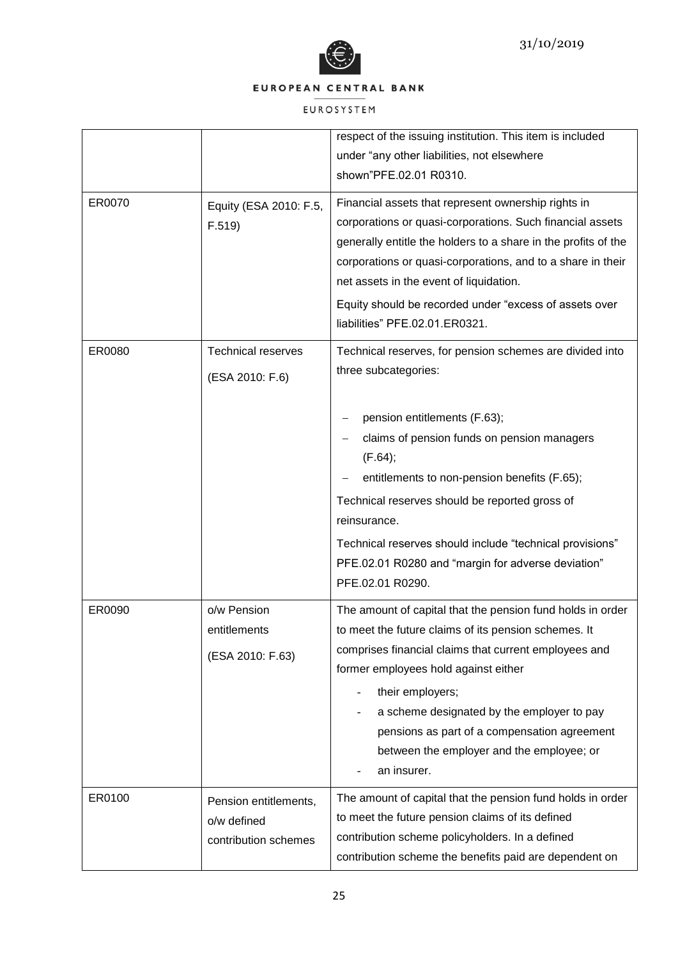

|        |                           | respect of the issuing institution. This item is included      |
|--------|---------------------------|----------------------------------------------------------------|
|        |                           | under "any other liabilities, not elsewhere                    |
|        |                           | shown"PFE.02.01 R0310.                                         |
|        |                           |                                                                |
| ER0070 | Equity (ESA 2010: F.5,    | Financial assets that represent ownership rights in            |
|        | F.519                     | corporations or quasi-corporations. Such financial assets      |
|        |                           | generally entitle the holders to a share in the profits of the |
|        |                           | corporations or quasi-corporations, and to a share in their    |
|        |                           | net assets in the event of liquidation.                        |
|        |                           | Equity should be recorded under "excess of assets over         |
|        |                           | liabilities" PFE.02.01.ER0321.                                 |
| ER0080 | <b>Technical reserves</b> | Technical reserves, for pension schemes are divided into       |
|        | (ESA 2010: F.6)           | three subcategories:                                           |
|        |                           |                                                                |
|        |                           | pension entitlements (F.63);                                   |
|        |                           | claims of pension funds on pension managers                    |
|        |                           | (F.64);                                                        |
|        |                           | entitlements to non-pension benefits (F.65);                   |
|        |                           | Technical reserves should be reported gross of                 |
|        |                           | reinsurance.                                                   |
|        |                           | Technical reserves should include "technical provisions"       |
|        |                           | PFE.02.01 R0280 and "margin for adverse deviation"             |
|        |                           | PFE.02.01 R0290.                                               |
|        |                           |                                                                |
| ER0090 | o/w Pension               | The amount of capital that the pension fund holds in order     |
|        | entitlements              | to meet the future claims of its pension schemes. It           |
|        | (ESA 2010: F.63)          | comprises financial claims that current employees and          |
|        |                           | former employees hold against either                           |
|        |                           | their employers;                                               |
|        |                           | a scheme designated by the employer to pay                     |
|        |                           | pensions as part of a compensation agreement                   |
|        |                           | between the employer and the employee; or                      |
|        |                           | an insurer.                                                    |
| ER0100 | Pension entitlements,     | The amount of capital that the pension fund holds in order     |
|        | o/w defined               | to meet the future pension claims of its defined               |
|        | contribution schemes      | contribution scheme policyholders. In a defined                |
|        |                           | contribution scheme the benefits paid are dependent on         |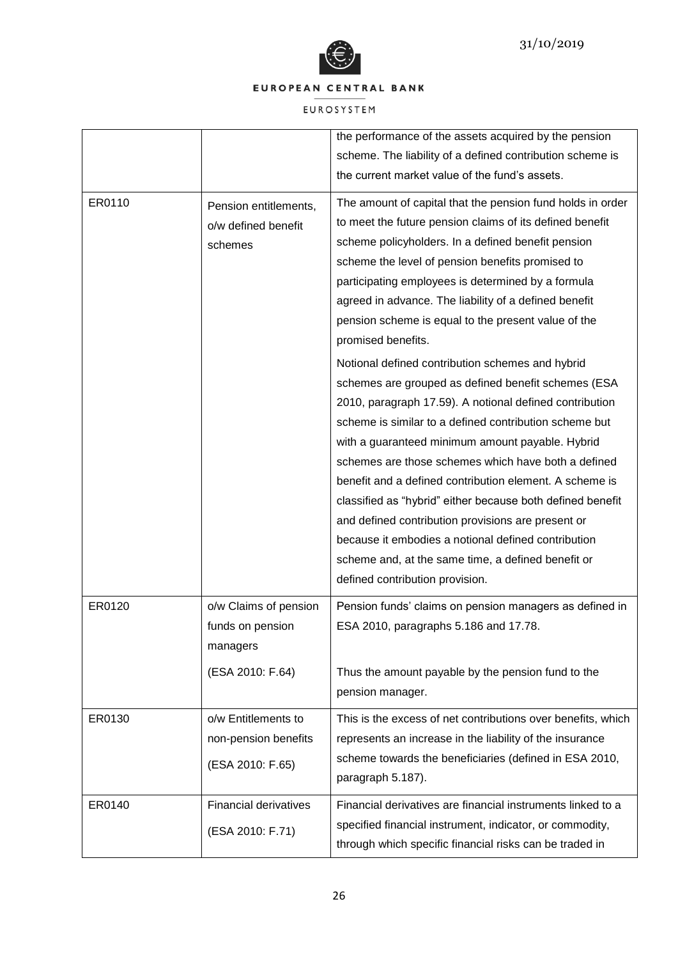



|        |                                                                 | the performance of the assets acquired by the pension                                                                                                                                                                                                                                                                                                                                                                                                                                                                                                                                                                                                                                                                                                                                                                                                                                                                                                                                                                                                               |
|--------|-----------------------------------------------------------------|---------------------------------------------------------------------------------------------------------------------------------------------------------------------------------------------------------------------------------------------------------------------------------------------------------------------------------------------------------------------------------------------------------------------------------------------------------------------------------------------------------------------------------------------------------------------------------------------------------------------------------------------------------------------------------------------------------------------------------------------------------------------------------------------------------------------------------------------------------------------------------------------------------------------------------------------------------------------------------------------------------------------------------------------------------------------|
|        |                                                                 | scheme. The liability of a defined contribution scheme is                                                                                                                                                                                                                                                                                                                                                                                                                                                                                                                                                                                                                                                                                                                                                                                                                                                                                                                                                                                                           |
|        |                                                                 | the current market value of the fund's assets.                                                                                                                                                                                                                                                                                                                                                                                                                                                                                                                                                                                                                                                                                                                                                                                                                                                                                                                                                                                                                      |
| ER0110 | Pension entitlements,<br>o/w defined benefit<br>schemes         | The amount of capital that the pension fund holds in order<br>to meet the future pension claims of its defined benefit<br>scheme policyholders. In a defined benefit pension<br>scheme the level of pension benefits promised to<br>participating employees is determined by a formula<br>agreed in advance. The liability of a defined benefit<br>pension scheme is equal to the present value of the<br>promised benefits.<br>Notional defined contribution schemes and hybrid<br>schemes are grouped as defined benefit schemes (ESA<br>2010, paragraph 17.59). A notional defined contribution<br>scheme is similar to a defined contribution scheme but<br>with a guaranteed minimum amount payable. Hybrid<br>schemes are those schemes which have both a defined<br>benefit and a defined contribution element. A scheme is<br>classified as "hybrid" either because both defined benefit<br>and defined contribution provisions are present or<br>because it embodies a notional defined contribution<br>scheme and, at the same time, a defined benefit or |
| ER0120 | o/w Claims of pension                                           | defined contribution provision.<br>Pension funds' claims on pension managers as defined in                                                                                                                                                                                                                                                                                                                                                                                                                                                                                                                                                                                                                                                                                                                                                                                                                                                                                                                                                                          |
|        | funds on pension<br>managers                                    | ESA 2010, paragraphs 5.186 and 17.78.                                                                                                                                                                                                                                                                                                                                                                                                                                                                                                                                                                                                                                                                                                                                                                                                                                                                                                                                                                                                                               |
|        | (ESA 2010: F.64)                                                | Thus the amount payable by the pension fund to the<br>pension manager.                                                                                                                                                                                                                                                                                                                                                                                                                                                                                                                                                                                                                                                                                                                                                                                                                                                                                                                                                                                              |
| ER0130 | o/w Entitlements to<br>non-pension benefits<br>(ESA 2010: F.65) | This is the excess of net contributions over benefits, which<br>represents an increase in the liability of the insurance<br>scheme towards the beneficiaries (defined in ESA 2010,<br>paragraph 5.187).                                                                                                                                                                                                                                                                                                                                                                                                                                                                                                                                                                                                                                                                                                                                                                                                                                                             |
| ER0140 | <b>Financial derivatives</b><br>(ESA 2010: F.71)                | Financial derivatives are financial instruments linked to a<br>specified financial instrument, indicator, or commodity,<br>through which specific financial risks can be traded in                                                                                                                                                                                                                                                                                                                                                                                                                                                                                                                                                                                                                                                                                                                                                                                                                                                                                  |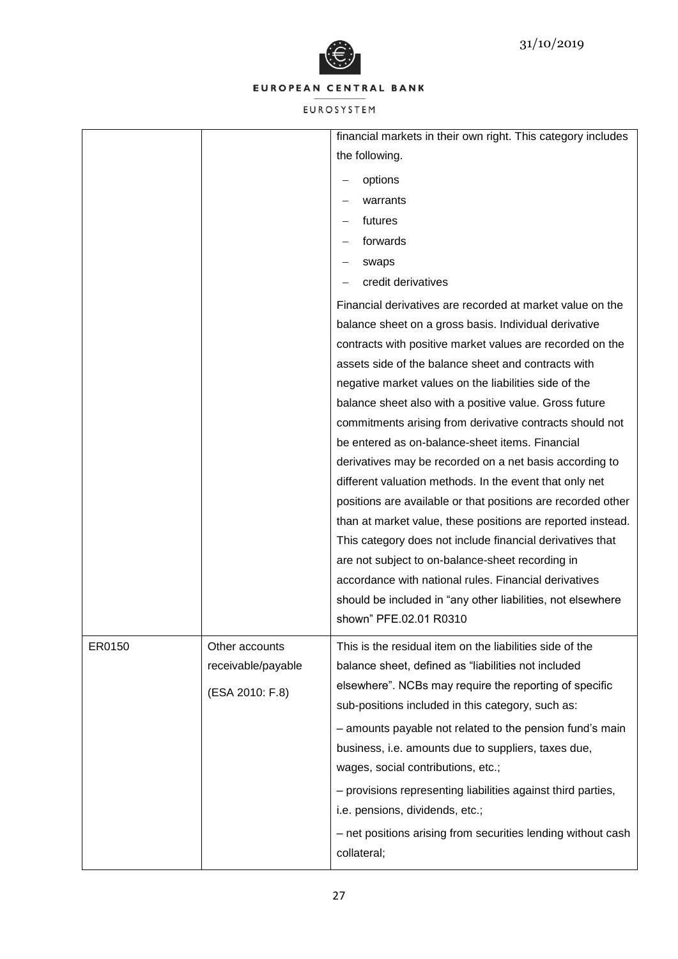



|        |                    | financial markets in their own right. This category includes |
|--------|--------------------|--------------------------------------------------------------|
|        |                    | the following.                                               |
|        |                    | options                                                      |
|        |                    | warrants                                                     |
|        |                    | futures                                                      |
|        |                    | forwards                                                     |
|        |                    | swaps                                                        |
|        |                    | credit derivatives                                           |
|        |                    | Financial derivatives are recorded at market value on the    |
|        |                    | balance sheet on a gross basis. Individual derivative        |
|        |                    | contracts with positive market values are recorded on the    |
|        |                    | assets side of the balance sheet and contracts with          |
|        |                    | negative market values on the liabilities side of the        |
|        |                    | balance sheet also with a positive value. Gross future       |
|        |                    | commitments arising from derivative contracts should not     |
|        |                    | be entered as on-balance-sheet items. Financial              |
|        |                    | derivatives may be recorded on a net basis according to      |
|        |                    | different valuation methods. In the event that only net      |
|        |                    | positions are available or that positions are recorded other |
|        |                    | than at market value, these positions are reported instead.  |
|        |                    | This category does not include financial derivatives that    |
|        |                    | are not subject to on-balance-sheet recording in             |
|        |                    | accordance with national rules. Financial derivatives        |
|        |                    | should be included in "any other liabilities, not elsewhere  |
|        |                    | shown" PFE.02.01 R0310                                       |
| ER0150 | Other accounts     | This is the residual item on the liabilities side of the     |
|        | receivable/payable | balance sheet, defined as "liabilities not included          |
|        | (ESA 2010: F.8)    | elsewhere". NCBs may require the reporting of specific       |
|        |                    | sub-positions included in this category, such as:            |
|        |                    | - amounts payable not related to the pension fund's main     |
|        |                    | business, i.e. amounts due to suppliers, taxes due,          |
|        |                    | wages, social contributions, etc.;                           |
|        |                    | - provisions representing liabilities against third parties, |
|        |                    | i.e. pensions, dividends, etc.;                              |
|        |                    | - net positions arising from securities lending without cash |
|        |                    | collateral;                                                  |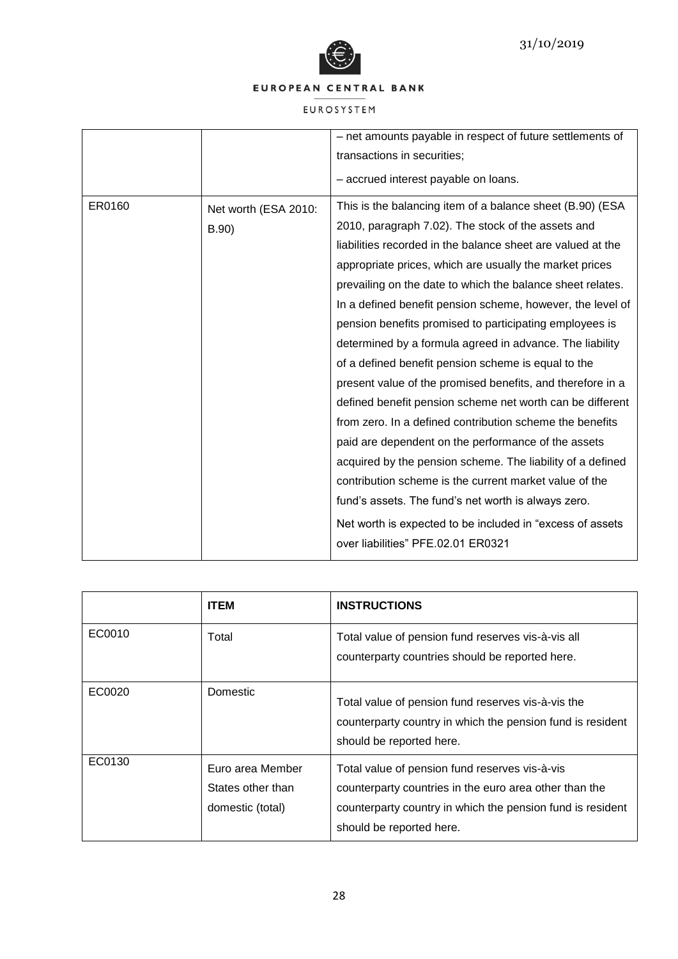

|        |                      | - net amounts payable in respect of future settlements of   |
|--------|----------------------|-------------------------------------------------------------|
|        |                      | transactions in securities;                                 |
|        |                      |                                                             |
|        |                      | - accrued interest payable on loans.                        |
| ER0160 | Net worth (ESA 2010: | This is the balancing item of a balance sheet (B.90) (ESA   |
|        | B.90)                | 2010, paragraph 7.02). The stock of the assets and          |
|        |                      | liabilities recorded in the balance sheet are valued at the |
|        |                      | appropriate prices, which are usually the market prices     |
|        |                      | prevailing on the date to which the balance sheet relates.  |
|        |                      | In a defined benefit pension scheme, however, the level of  |
|        |                      | pension benefits promised to participating employees is     |
|        |                      | determined by a formula agreed in advance. The liability    |
|        |                      | of a defined benefit pension scheme is equal to the         |
|        |                      | present value of the promised benefits, and therefore in a  |
|        |                      | defined benefit pension scheme net worth can be different   |
|        |                      | from zero. In a defined contribution scheme the benefits    |
|        |                      | paid are dependent on the performance of the assets         |
|        |                      | acquired by the pension scheme. The liability of a defined  |
|        |                      | contribution scheme is the current market value of the      |
|        |                      | fund's assets. The fund's net worth is always zero.         |
|        |                      | Net worth is expected to be included in "excess of assets   |
|        |                      | over liabilities" PFE.02.01 ER0321                          |
|        |                      |                                                             |

|        | <b>ITEM</b>                                               | <b>INSTRUCTIONS</b>                                                                                                                                                                                |
|--------|-----------------------------------------------------------|----------------------------------------------------------------------------------------------------------------------------------------------------------------------------------------------------|
| EC0010 | Total                                                     | Total value of pension fund reserves vis-à-vis all<br>counterparty countries should be reported here.                                                                                              |
| EC0020 | Domestic                                                  | Total value of pension fund reserves vis-à-vis the<br>counterparty country in which the pension fund is resident<br>should be reported here.                                                       |
| EC0130 | Euro area Member<br>States other than<br>domestic (total) | Total value of pension fund reserves vis-à-vis<br>counterparty countries in the euro area other than the<br>counterparty country in which the pension fund is resident<br>should be reported here. |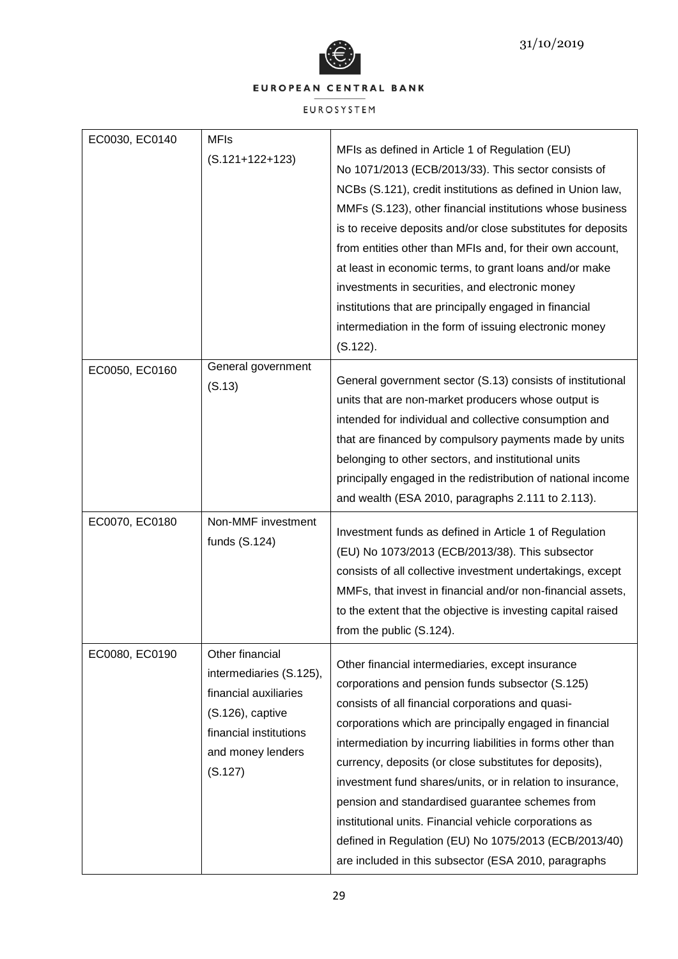



| EC0030, EC0140 | <b>MFIs</b><br>$(S.121+122+123)$                                                                                                                  | MFIs as defined in Article 1 of Regulation (EU)<br>No 1071/2013 (ECB/2013/33). This sector consists of<br>NCBs (S.121), credit institutions as defined in Union law,<br>MMFs (S.123), other financial institutions whose business<br>is to receive deposits and/or close substitutes for deposits<br>from entities other than MFIs and, for their own account,<br>at least in economic terms, to grant loans and/or make<br>investments in securities, and electronic money<br>institutions that are principally engaged in financial<br>intermediation in the form of issuing electronic money<br>$(S.122)$ .                             |
|----------------|---------------------------------------------------------------------------------------------------------------------------------------------------|--------------------------------------------------------------------------------------------------------------------------------------------------------------------------------------------------------------------------------------------------------------------------------------------------------------------------------------------------------------------------------------------------------------------------------------------------------------------------------------------------------------------------------------------------------------------------------------------------------------------------------------------|
| EC0050, EC0160 | General government<br>(S.13)                                                                                                                      | General government sector (S.13) consists of institutional<br>units that are non-market producers whose output is<br>intended for individual and collective consumption and<br>that are financed by compulsory payments made by units<br>belonging to other sectors, and institutional units<br>principally engaged in the redistribution of national income<br>and wealth (ESA 2010, paragraphs 2.111 to 2.113).                                                                                                                                                                                                                          |
| EC0070, EC0180 | Non-MMF investment<br>funds (S.124)                                                                                                               | Investment funds as defined in Article 1 of Regulation<br>(EU) No 1073/2013 (ECB/2013/38). This subsector<br>consists of all collective investment undertakings, except<br>MMFs, that invest in financial and/or non-financial assets,<br>to the extent that the objective is investing capital raised<br>from the public (S.124).                                                                                                                                                                                                                                                                                                         |
| EC0080, EC0190 | Other financial<br>intermediaries (S.125),<br>financial auxiliaries<br>(S.126), captive<br>financial institutions<br>and money lenders<br>(S.127) | Other financial intermediaries, except insurance<br>corporations and pension funds subsector (S.125)<br>consists of all financial corporations and quasi-<br>corporations which are principally engaged in financial<br>intermediation by incurring liabilities in forms other than<br>currency, deposits (or close substitutes for deposits),<br>investment fund shares/units, or in relation to insurance,<br>pension and standardised guarantee schemes from<br>institutional units. Financial vehicle corporations as<br>defined in Regulation (EU) No 1075/2013 (ECB/2013/40)<br>are included in this subsector (ESA 2010, paragraphs |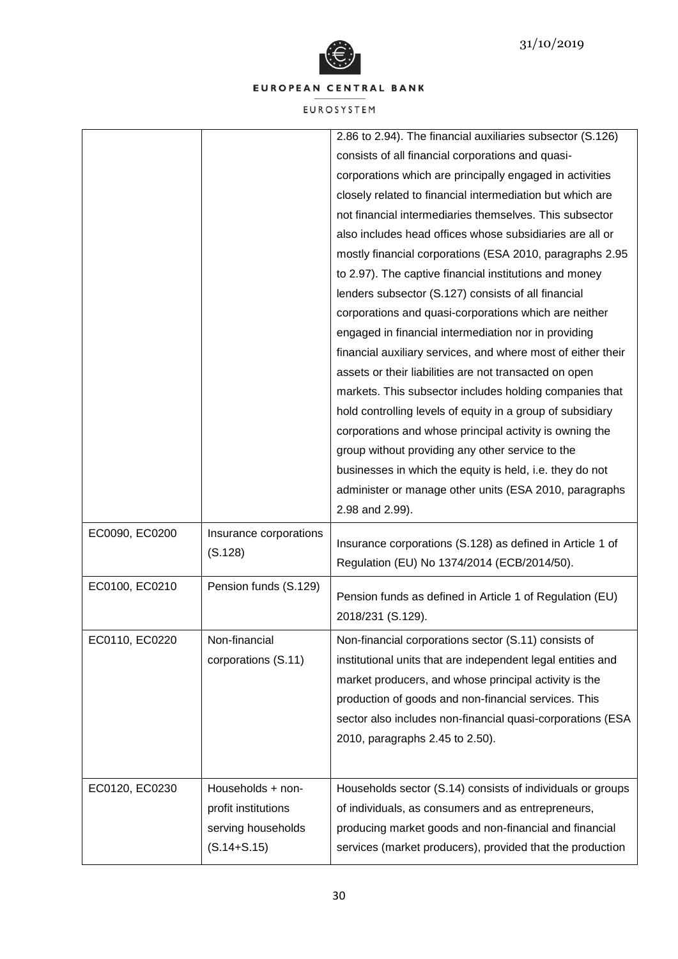

|                |                        | 2.86 to 2.94). The financial auxiliaries subsector (S.126)   |
|----------------|------------------------|--------------------------------------------------------------|
|                |                        | consists of all financial corporations and quasi-            |
|                |                        | corporations which are principally engaged in activities     |
|                |                        | closely related to financial intermediation but which are    |
|                |                        | not financial intermediaries themselves. This subsector      |
|                |                        | also includes head offices whose subsidiaries are all or     |
|                |                        | mostly financial corporations (ESA 2010, paragraphs 2.95     |
|                |                        | to 2.97). The captive financial institutions and money       |
|                |                        | lenders subsector (S.127) consists of all financial          |
|                |                        | corporations and quasi-corporations which are neither        |
|                |                        | engaged in financial intermediation nor in providing         |
|                |                        | financial auxiliary services, and where most of either their |
|                |                        | assets or their liabilities are not transacted on open       |
|                |                        | markets. This subsector includes holding companies that      |
|                |                        | hold controlling levels of equity in a group of subsidiary   |
|                |                        | corporations and whose principal activity is owning the      |
|                |                        | group without providing any other service to the             |
|                |                        | businesses in which the equity is held, i.e. they do not     |
|                |                        | administer or manage other units (ESA 2010, paragraphs       |
|                |                        | 2.98 and 2.99).                                              |
| EC0090, EC0200 | Insurance corporations |                                                              |
|                | (S.128)                | Insurance corporations (S.128) as defined in Article 1 of    |
|                |                        | Regulation (EU) No 1374/2014 (ECB/2014/50).                  |
| EC0100, EC0210 | Pension funds (S.129)  | Pension funds as defined in Article 1 of Regulation (EU)     |
|                |                        | 2018/231 (S.129).                                            |
|                |                        |                                                              |
| EC0110, EC0220 | Non-financial          | Non-financial corporations sector (S.11) consists of         |
|                | corporations (S.11)    | institutional units that are independent legal entities and  |
|                |                        | market producers, and whose principal activity is the        |
|                |                        | production of goods and non-financial services. This         |
|                |                        | sector also includes non-financial quasi-corporations (ESA   |
|                |                        | 2010, paragraphs 2.45 to 2.50).                              |
|                |                        |                                                              |
| EC0120, EC0230 | Households + non-      | Households sector (S.14) consists of individuals or groups   |
|                | profit institutions    | of individuals, as consumers and as entrepreneurs,           |
|                | serving households     | producing market goods and non-financial and financial       |
|                |                        |                                                              |
|                | $(S.14 + S.15)$        | services (market producers), provided that the production    |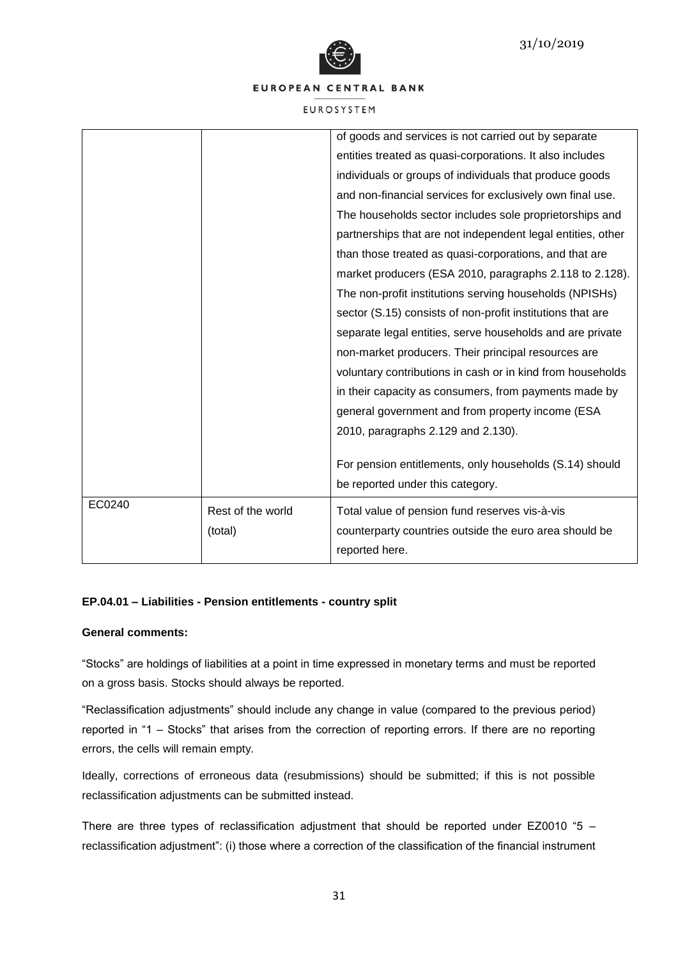

EUROSYSTEM

|        |                   | of goods and services is not carried out by separate        |
|--------|-------------------|-------------------------------------------------------------|
|        |                   | entities treated as quasi-corporations. It also includes    |
|        |                   | individuals or groups of individuals that produce goods     |
|        |                   | and non-financial services for exclusively own final use.   |
|        |                   | The households sector includes sole proprietorships and     |
|        |                   | partnerships that are not independent legal entities, other |
|        |                   | than those treated as quasi-corporations, and that are      |
|        |                   | market producers (ESA 2010, paragraphs 2.118 to 2.128).     |
|        |                   | The non-profit institutions serving households (NPISHs)     |
|        |                   | sector (S.15) consists of non-profit institutions that are  |
|        |                   | separate legal entities, serve households and are private   |
|        |                   | non-market producers. Their principal resources are         |
|        |                   | voluntary contributions in cash or in kind from households  |
|        |                   | in their capacity as consumers, from payments made by       |
|        |                   | general government and from property income (ESA            |
|        |                   | 2010, paragraphs 2.129 and 2.130).                          |
|        |                   |                                                             |
|        |                   | For pension entitlements, only households (S.14) should     |
|        |                   | be reported under this category.                            |
| EC0240 | Rest of the world | Total value of pension fund reserves vis-à-vis              |
|        | (total)           | counterparty countries outside the euro area should be      |
|        |                   | reported here.                                              |
|        |                   |                                                             |

# **EP.04.01 – Liabilities - Pension entitlements - country split**

# **General comments:**

"Stocks" are holdings of liabilities at a point in time expressed in monetary terms and must be reported on a gross basis. Stocks should always be reported.

"Reclassification adjustments" should include any change in value (compared to the previous period) reported in "1 – Stocks" that arises from the correction of reporting errors. If there are no reporting errors, the cells will remain empty.

Ideally, corrections of erroneous data (resubmissions) should be submitted; if this is not possible reclassification adjustments can be submitted instead.

There are three types of reclassification adjustment that should be reported under EZ0010 "5 – reclassification adjustment": (i) those where a correction of the classification of the financial instrument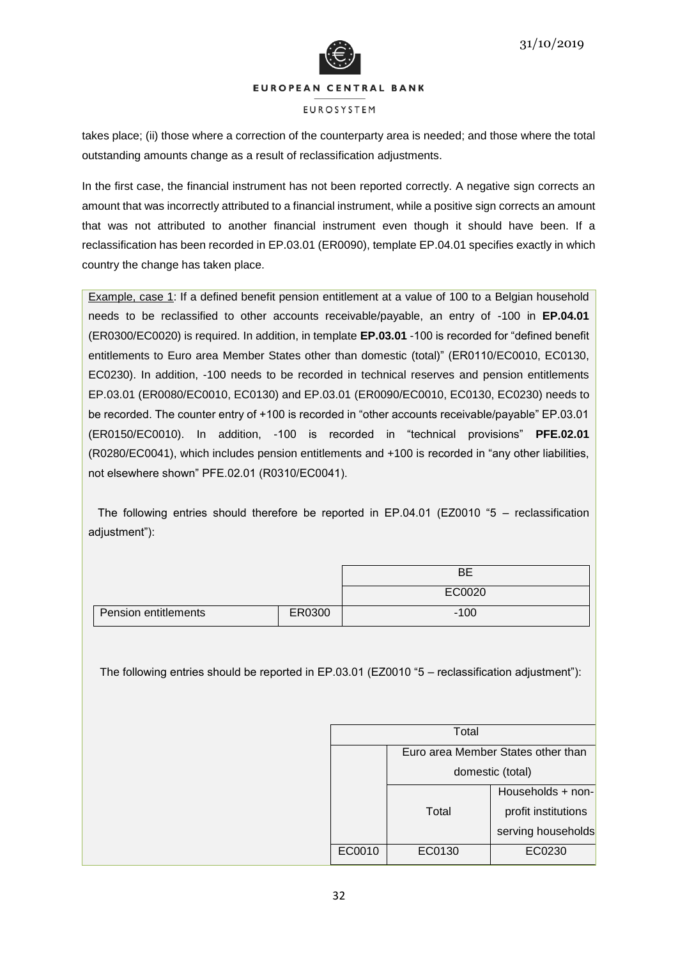



#### **EUROSYSTEM**

takes place; (ii) those where a correction of the counterparty area is needed; and those where the total outstanding amounts change as a result of reclassification adjustments.

In the first case, the financial instrument has not been reported correctly. A negative sign corrects an amount that was incorrectly attributed to a financial instrument, while a positive sign corrects an amount that was not attributed to another financial instrument even though it should have been. If a reclassification has been recorded in EP.03.01 (ER0090), template EP.04.01 specifies exactly in which country the change has taken place.

Example, case 1: If a defined benefit pension entitlement at a value of 100 to a Belgian household needs to be reclassified to other accounts receivable/payable, an entry of -100 in **EP.04.01** (ER0300/EC0020) is required. In addition, in template **EP.03.01** -100 is recorded for "defined benefit entitlements to Euro area Member States other than domestic (total)" (ER0110/EC0010, EC0130, EC0230). In addition, -100 needs to be recorded in technical reserves and pension entitlements EP.03.01 (ER0080/EC0010, EC0130) and EP.03.01 (ER0090/EC0010, EC0130, EC0230) needs to be recorded. The counter entry of +100 is recorded in "other accounts receivable/payable" EP.03.01 (ER0150/EC0010). In addition, -100 is recorded in "technical provisions" **PFE.02.01** (R0280/EC0041), which includes pension entitlements and +100 is recorded in "any other liabilities, not elsewhere shown" PFE.02.01 (R0310/EC0041).

 The following entries should therefore be reported in EP.04.01 (EZ0010 "5 – reclassification adjustment"):

|                      |        | <b>BE</b>                                                                                        |
|----------------------|--------|--------------------------------------------------------------------------------------------------|
|                      |        | EC0020                                                                                           |
| Pension entitlements | ER0300 | $-100$                                                                                           |
|                      |        | The following entries should be reported in EP.03.01 (EZ0010 "5 - reclassification adjustment"): |
|                      |        | Total                                                                                            |
|                      |        | Furo area Member States other than                                                               |

|        | Euro area Member States other than |                    |  |  |  |  |
|--------|------------------------------------|--------------------|--|--|--|--|
|        | domestic (total)                   |                    |  |  |  |  |
|        | Households + non-                  |                    |  |  |  |  |
|        | Total<br>profit institutions       |                    |  |  |  |  |
|        |                                    | serving households |  |  |  |  |
| EC0010 | EC0130                             | EC0230             |  |  |  |  |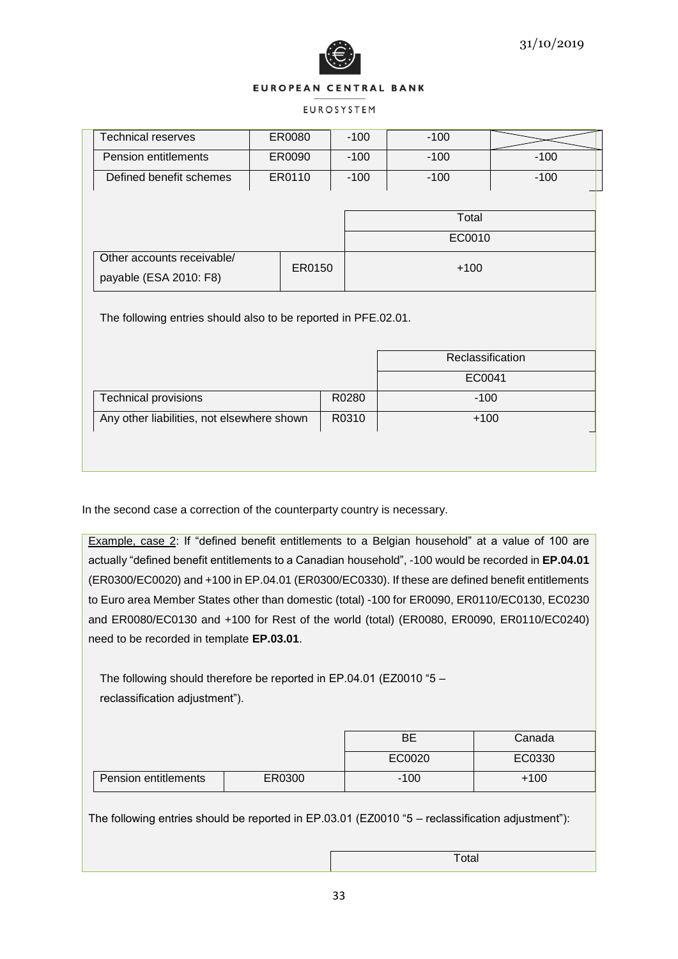

### **EUROSYSTEM**

| <b>Technical reserves</b>                                      | ER0080 |        | $-100$ |        | $-100$           |        |
|----------------------------------------------------------------|--------|--------|--------|--------|------------------|--------|
| Pension entitlements                                           |        | ER0090 | $-100$ |        | $-100$           | $-100$ |
| Defined benefit schemes                                        |        | ER0110 | $-100$ |        | $-100$           | $-100$ |
|                                                                |        |        |        |        |                  |        |
|                                                                |        |        | Total  |        |                  |        |
|                                                                |        |        |        |        | EC0010           |        |
| Other accounts receivable/                                     |        |        |        |        |                  |        |
| ER0150<br>payable (ESA 2010: F8)                               |        |        |        | $+100$ |                  |        |
| The following entries should also to be reported in PFE.02.01. |        |        |        |        |                  |        |
|                                                                |        |        |        |        |                  |        |
|                                                                |        |        |        |        | Reclassification |        |
|                                                                | EC0041 |        |        |        |                  |        |
| <b>Technical provisions</b>                                    |        | R0280  | $-100$ |        |                  |        |
| Any other liabilities, not elsewhere shown                     |        | R0310  | $+100$ |        |                  |        |
|                                                                |        |        |        |        |                  |        |
|                                                                |        |        |        |        |                  |        |

In the second case a correction of the counterparty country is necessary.

Example, case 2: If "defined benefit entitlements to a Belgian household" at a value of 100 are actually "defined benefit entitlements to a Canadian household", -100 would be recorded in **EP.04.01** (ER0300/EC0020) and +100 in EP.04.01 (ER0300/EC0330). If these are defined benefit entitlements to Euro area Member States other than domestic (total) -100 for ER0090, ER0110/EC0130, EC0230 and ER0080/EC0130 and +100 for Rest of the world (total) (ER0080, ER0090, ER0110/EC0240) need to be recorded in template **EP.03.01**.

The following should therefore be reported in EP.04.01 (EZ0010 "5 – reclassification adjustment").

|                      |        | BE     | Canada |
|----------------------|--------|--------|--------|
|                      |        | EC0020 | EC0330 |
| Pension entitlements | ER0300 | $-100$ | $+100$ |

The following entries should be reported in EP.03.01 (EZ0010 "5 – reclassification adjustment"):

**Total**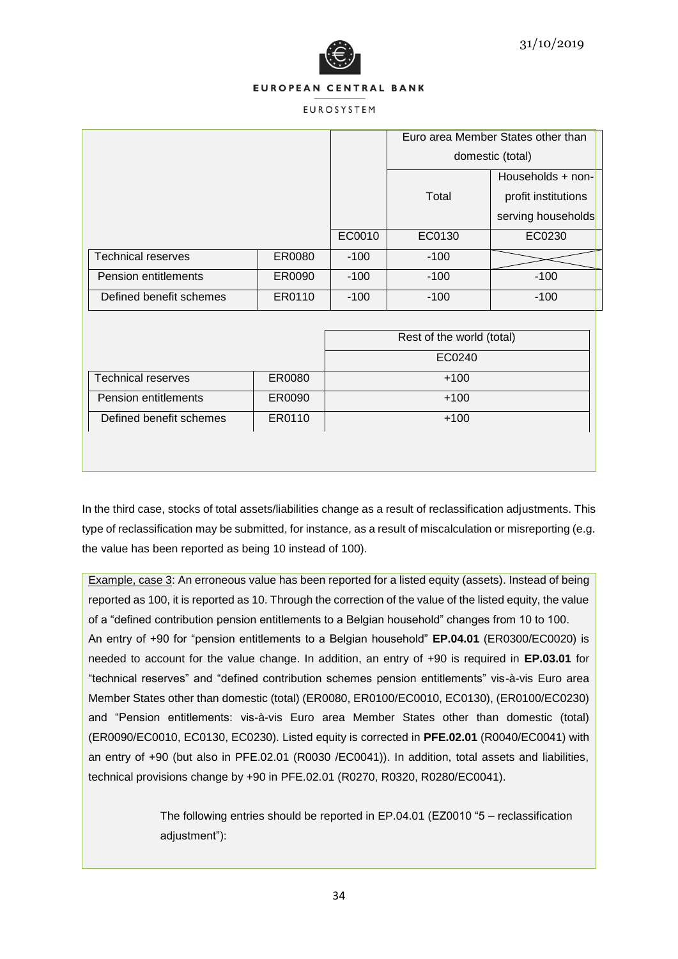

#### **EUROSYSTEM**

|                           |        |        |        | Euro area Member States other than |
|---------------------------|--------|--------|--------|------------------------------------|
|                           |        |        |        | domestic (total)                   |
|                           |        |        |        | Households + non-                  |
|                           |        |        | Total  | profit institutions                |
|                           |        |        |        | serving households                 |
|                           |        | EC0010 | EC0130 | EC0230                             |
| <b>Technical reserves</b> | ER0080 | $-100$ | $-100$ |                                    |
| Pension entitlements      | ER0090 | $-100$ | $-100$ | $-100$                             |
| Defined benefit schemes   | ER0110 | $-100$ | $-100$ | $-100$                             |
|                           |        |        |        |                                    |

|                           |        | Rest of the world (total) |
|---------------------------|--------|---------------------------|
|                           |        | EC0240                    |
| <b>Technical reserves</b> | ER0080 | $+100$                    |
| Pension entitlements      | ER0090 | $+100$                    |
| Defined benefit schemes   | ER0110 | $+100$                    |

In the third case, stocks of total assets/liabilities change as a result of reclassification adjustments. This type of reclassification may be submitted, for instance, as a result of miscalculation or misreporting (e.g. the value has been reported as being 10 instead of 100).

Example, case 3: An erroneous value has been reported for a listed equity (assets). Instead of being reported as 100, it is reported as 10. Through the correction of the value of the listed equity, the value of a "defined contribution pension entitlements to a Belgian household" changes from 10 to 100. An entry of +90 for "pension entitlements to a Belgian household" **EP.04.01** (ER0300/EC0020) is needed to account for the value change. In addition, an entry of +90 is required in **EP.03.01** for "technical reserves" and "defined contribution schemes pension entitlements" vis-à-vis Euro area Member States other than domestic (total) (ER0080, ER0100/EC0010, EC0130), (ER0100/EC0230) and "Pension entitlements: vis-à-vis Euro area Member States other than domestic (total) (ER0090/EC0010, EC0130, EC0230). Listed equity is corrected in **PFE.02.01** (R0040/EC0041) with an entry of +90 (but also in PFE.02.01 (R0030 /EC0041)). In addition, total assets and liabilities, technical provisions change by +90 in PFE.02.01 (R0270, R0320, R0280/EC0041).

> The following entries should be reported in EP.04.01 (EZ0010 "5 – reclassification adjustment"):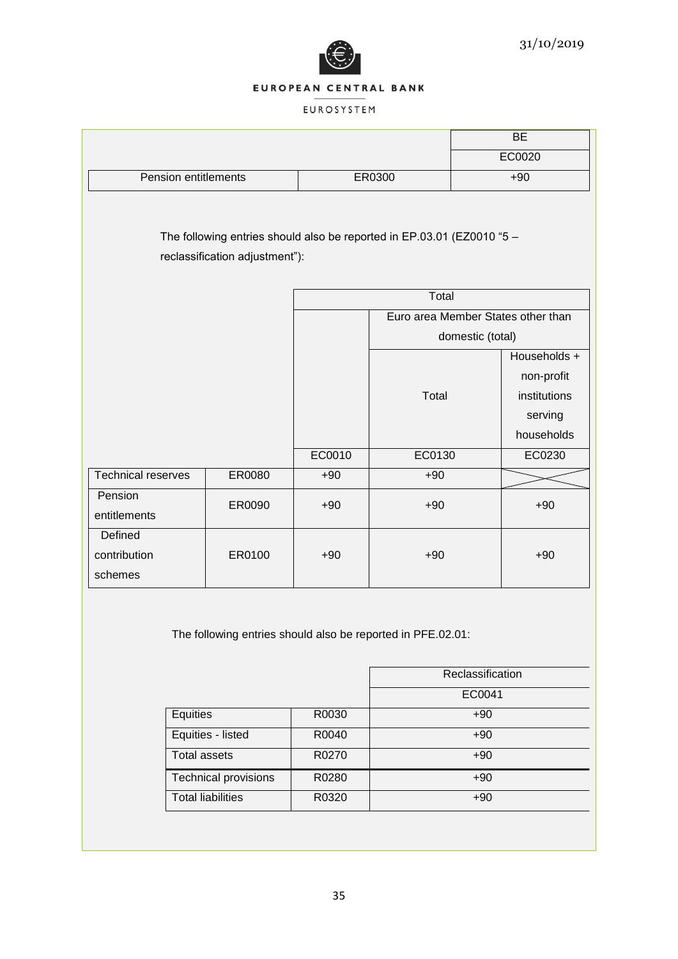

|                                                                                                          |                      |                          |        |        | <b>BE</b>                                             |
|----------------------------------------------------------------------------------------------------------|----------------------|--------------------------|--------|--------|-------------------------------------------------------|
|                                                                                                          |                      |                          |        |        | EC0020                                                |
| Pension entitlements                                                                                     |                      |                          | ER0300 | $+90$  |                                                       |
| The following entries should also be reported in EP.03.01 (EZ0010 "5 -<br>reclassification adjustment"): |                      |                          |        |        |                                                       |
|                                                                                                          |                      |                          |        | Total  |                                                       |
|                                                                                                          |                      |                          |        |        | Euro area Member States other than                    |
|                                                                                                          |                      |                          |        |        | domestic (total)                                      |
|                                                                                                          |                      |                          |        | Total  | Households +<br>non-profit<br>institutions<br>serving |
|                                                                                                          |                      |                          |        |        | households                                            |
|                                                                                                          |                      |                          | EC0010 | EC0130 | EC0230                                                |
| <b>Technical reserves</b>                                                                                |                      | ER0080                   | $+90$  | $+90$  |                                                       |
| Pension<br>entitlements                                                                                  |                      | ER0090                   | $+90$  | $+90$  | $+90$                                                 |
| Defined<br>contribution<br>schemes                                                                       |                      | ER0100                   | $+90$  | $+90$  | $+90$                                                 |
| The following entries should also be reported in PFE.02.01:<br>Reclassification                          |                      |                          |        |        |                                                       |
|                                                                                                          |                      |                          |        |        | EC0041                                                |
|                                                                                                          | Equities             |                          | R0030  |        | $+90$                                                 |
| Equities - listed                                                                                        |                      | R0040                    | $+90$  |        |                                                       |
|                                                                                                          | Total assets         |                          | R0270  |        | $+90$                                                 |
|                                                                                                          | Technical provisions |                          | R0280  |        | $+90$                                                 |
|                                                                                                          |                      | <b>Total liabilities</b> | R0320  |        | $+90$                                                 |
|                                                                                                          |                      |                          |        |        |                                                       |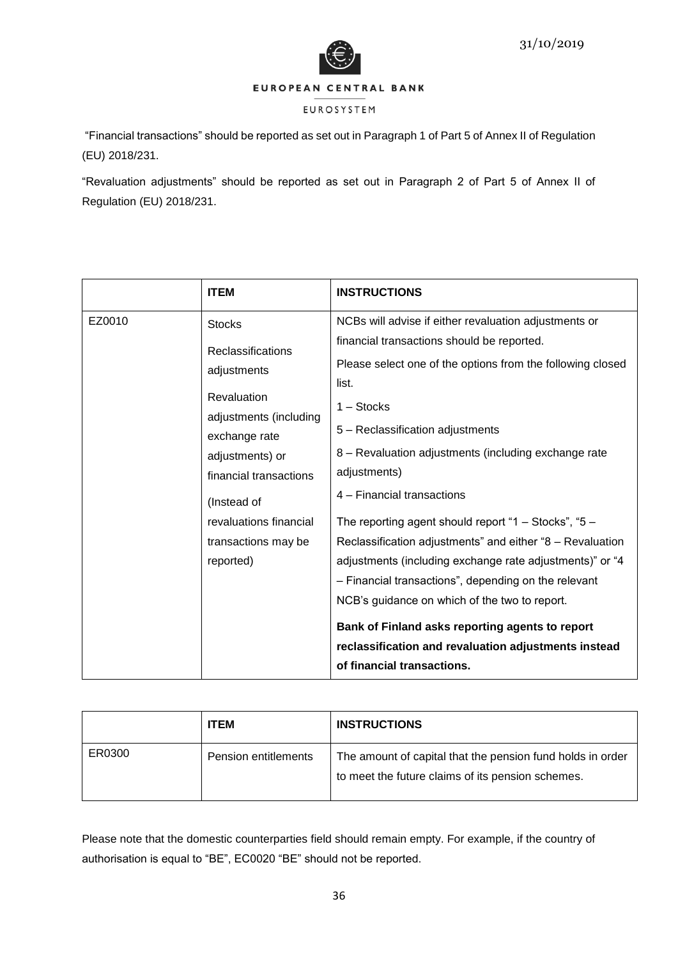



# EUROSYSTEM

"Financial transactions" should be reported as set out in Paragraph 1 of Part 5 of Annex II of Regulation (EU) 2018/231.

"Revaluation adjustments" should be reported as set out in Paragraph 2 of Part 5 of Annex II of Regulation (EU) 2018/231.

|        | <b>ITEM</b>                                                                                                                                                                                                                                  | <b>INSTRUCTIONS</b>                                                                                                                                                                                                                                                                                                                                                                                                                                                                                                                                                                                                                                                                                                                       |
|--------|----------------------------------------------------------------------------------------------------------------------------------------------------------------------------------------------------------------------------------------------|-------------------------------------------------------------------------------------------------------------------------------------------------------------------------------------------------------------------------------------------------------------------------------------------------------------------------------------------------------------------------------------------------------------------------------------------------------------------------------------------------------------------------------------------------------------------------------------------------------------------------------------------------------------------------------------------------------------------------------------------|
| EZ0010 | <b>Stocks</b><br><b>Reclassifications</b><br>adjustments<br>Revaluation<br>adjustments (including<br>exchange rate<br>adjustments) or<br>financial transactions<br>(Instead of<br>revaluations financial<br>transactions may be<br>reported) | NCBs will advise if either revaluation adjustments or<br>financial transactions should be reported.<br>Please select one of the options from the following closed<br>list.<br>$1 -$ Stocks<br>5 - Reclassification adjustments<br>8 - Revaluation adjustments (including exchange rate<br>adjustments)<br>4 - Financial transactions<br>The reporting agent should report "1 - Stocks", "5 -<br>Reclassification adjustments" and either "8 - Revaluation<br>adjustments (including exchange rate adjustments)" or "4<br>- Financial transactions", depending on the relevant<br>NCB's guidance on which of the two to report.<br>Bank of Finland asks reporting agents to report<br>reclassification and revaluation adjustments instead |
|        |                                                                                                                                                                                                                                              | of financial transactions.                                                                                                                                                                                                                                                                                                                                                                                                                                                                                                                                                                                                                                                                                                                |

|        | <b>ITEM</b>          | <b>INSTRUCTIONS</b>                                                                                             |
|--------|----------------------|-----------------------------------------------------------------------------------------------------------------|
| ER0300 | Pension entitlements | The amount of capital that the pension fund holds in order<br>to meet the future claims of its pension schemes. |

Please note that the domestic counterparties field should remain empty. For example, if the country of authorisation is equal to "BE", EC0020 "BE" should not be reported.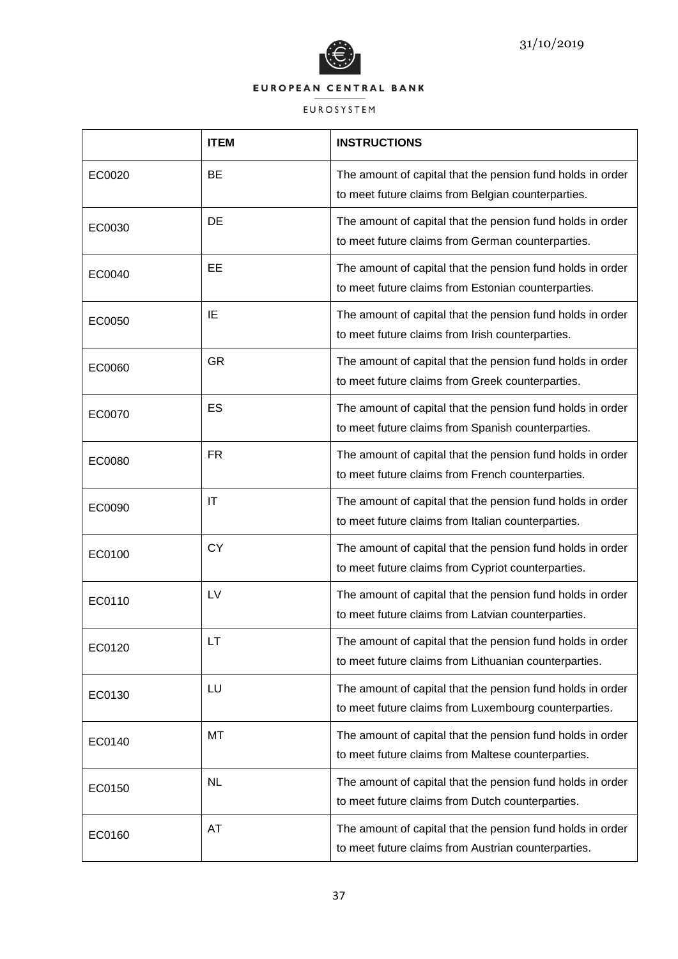

|        | <b>ITEM</b> | <b>INSTRUCTIONS</b>                                                                                                 |
|--------|-------------|---------------------------------------------------------------------------------------------------------------------|
| EC0020 | <b>BE</b>   | The amount of capital that the pension fund holds in order<br>to meet future claims from Belgian counterparties.    |
| EC0030 | DE          | The amount of capital that the pension fund holds in order<br>to meet future claims from German counterparties.     |
| EC0040 | EE          | The amount of capital that the pension fund holds in order<br>to meet future claims from Estonian counterparties.   |
| EC0050 | IE          | The amount of capital that the pension fund holds in order<br>to meet future claims from Irish counterparties.      |
| EC0060 | <b>GR</b>   | The amount of capital that the pension fund holds in order<br>to meet future claims from Greek counterparties.      |
| EC0070 | ES          | The amount of capital that the pension fund holds in order<br>to meet future claims from Spanish counterparties.    |
| EC0080 | <b>FR</b>   | The amount of capital that the pension fund holds in order<br>to meet future claims from French counterparties.     |
| EC0090 | IT          | The amount of capital that the pension fund holds in order<br>to meet future claims from Italian counterparties.    |
| EC0100 | <b>CY</b>   | The amount of capital that the pension fund holds in order<br>to meet future claims from Cypriot counterparties.    |
| EC0110 | LV          | The amount of capital that the pension fund holds in order<br>to meet future claims from Latvian counterparties.    |
| EC0120 | LT          | The amount of capital that the pension fund holds in order<br>to meet future claims from Lithuanian counterparties. |
| EC0130 | LU          | The amount of capital that the pension fund holds in order<br>to meet future claims from Luxembourg counterparties. |
| EC0140 | MT          | The amount of capital that the pension fund holds in order<br>to meet future claims from Maltese counterparties.    |
| EC0150 | <b>NL</b>   | The amount of capital that the pension fund holds in order<br>to meet future claims from Dutch counterparties.      |
| EC0160 | AT          | The amount of capital that the pension fund holds in order<br>to meet future claims from Austrian counterparties.   |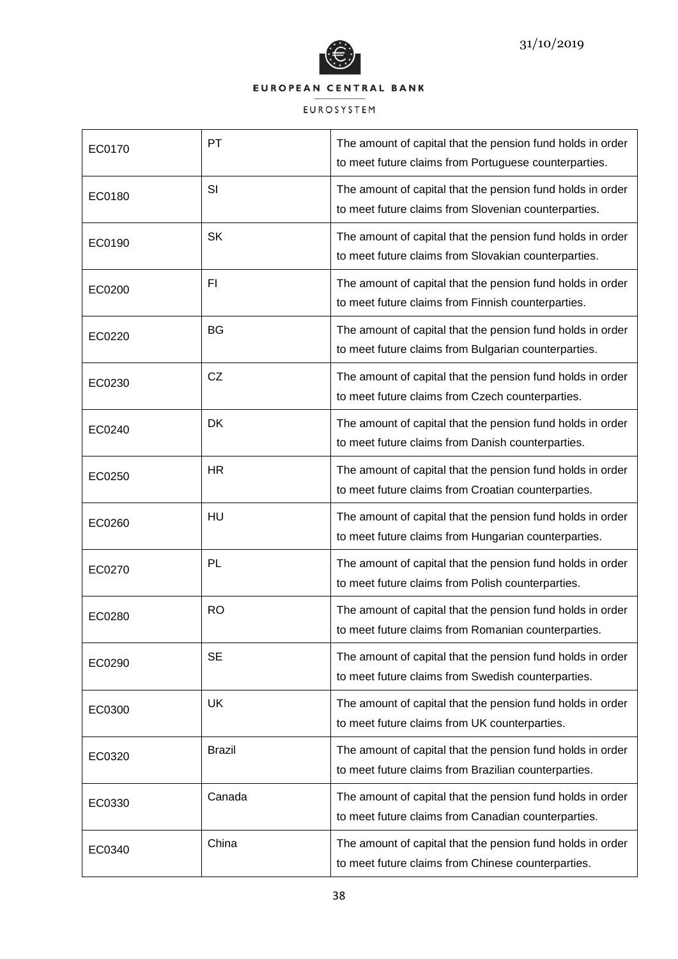

| EC0170 | PT            | The amount of capital that the pension fund holds in order<br>to meet future claims from Portuguese counterparties. |
|--------|---------------|---------------------------------------------------------------------------------------------------------------------|
| EC0180 | SI            | The amount of capital that the pension fund holds in order<br>to meet future claims from Slovenian counterparties.  |
| EC0190 | <b>SK</b>     | The amount of capital that the pension fund holds in order<br>to meet future claims from Slovakian counterparties.  |
| EC0200 | F1            | The amount of capital that the pension fund holds in order<br>to meet future claims from Finnish counterparties.    |
| EC0220 | <b>BG</b>     | The amount of capital that the pension fund holds in order<br>to meet future claims from Bulgarian counterparties.  |
| EC0230 | CZ            | The amount of capital that the pension fund holds in order<br>to meet future claims from Czech counterparties.      |
| EC0240 | <b>DK</b>     | The amount of capital that the pension fund holds in order<br>to meet future claims from Danish counterparties.     |
| EC0250 | HR            | The amount of capital that the pension fund holds in order<br>to meet future claims from Croatian counterparties.   |
| EC0260 | HU            | The amount of capital that the pension fund holds in order<br>to meet future claims from Hungarian counterparties.  |
| EC0270 | PL            | The amount of capital that the pension fund holds in order<br>to meet future claims from Polish counterparties.     |
| EC0280 | <b>RO</b>     | The amount of capital that the pension fund holds in order<br>to meet future claims from Romanian counterparties.   |
| EC0290 | <b>SE</b>     | The amount of capital that the pension fund holds in order<br>to meet future claims from Swedish counterparties.    |
| EC0300 | <b>UK</b>     | The amount of capital that the pension fund holds in order<br>to meet future claims from UK counterparties.         |
| EC0320 | <b>Brazil</b> | The amount of capital that the pension fund holds in order<br>to meet future claims from Brazilian counterparties.  |
| EC0330 | Canada        | The amount of capital that the pension fund holds in order<br>to meet future claims from Canadian counterparties.   |
| EC0340 | China         | The amount of capital that the pension fund holds in order<br>to meet future claims from Chinese counterparties.    |